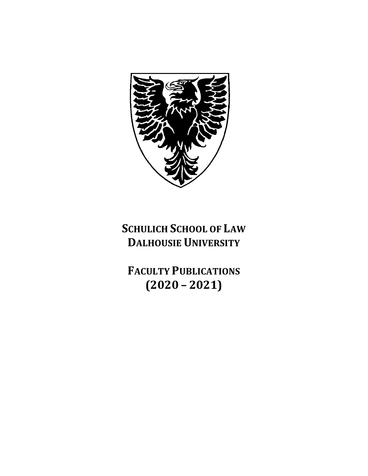

# **SCHULICH SCHOOL OF LAW DALHOUSIE UNIVERSITY**

**FACULTY PUBLICATIONS (2020 – 2021)**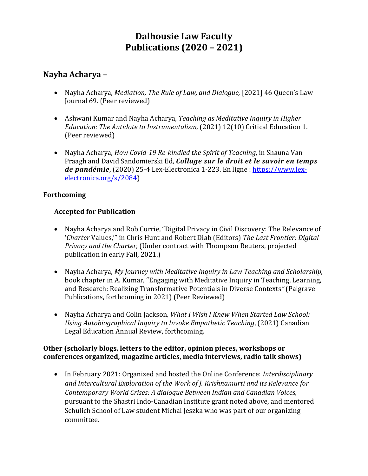# **Dalhousie Law Faculty Publications (2020 – 2021)**

# **Nayha Acharya –**

- Nayha Acharya, *Mediation, The Rule of Law, and Dialogue,* [2021] 46 Queen's Law Journal 69. (Peer reviewed)
- Ashwani Kumar and Nayha Acharya, *Teaching as Meditative Inquiry in Higher Education: The Antidote to Instrumentalism,* (2021) 12(10) Critical Education 1. (Peer reviewed)
- Nayha Acharya, *How Covid-19 Re-kindled the Spirit of Teaching*, in Shauna Van Praagh and David Sandomierski Ed, *Collage sur le droit et le savoir en temps de pandémie*, (2020) 25-4 Lex-Electronica 1-223. En ligne : [https://www.lex](https://www.lex-electronica.org/s/2084)[electronica.org/s/2084\)](https://www.lex-electronica.org/s/2084)

### **Forthcoming**

### **Accepted for Publication**

- Nayha Acharya and Rob Currie, "Digital Privacy in Civil Discovery: The Relevance of '*Charter* Values,'" in Chris Hunt and Robert Diab (Editors) *The Last Frontier: Digital Privacy and the Charter*, (Under contract with Thompson Reuters, projected publication in early Fall, 2021.)
- Nayha Acharya, *My Journey with Meditative Inquiry in Law Teaching and Scholarship*, book chapter in A. Kumar, "Engaging with Meditative Inquiry in Teaching, Learning, and Research: Realizing Transformative Potentials in Diverse Contexts*"* (Palgrave Publications, forthcoming in 2021) (Peer Reviewed)
- Nayha Acharya and Colin Jackson*, What I Wish I Knew When Started Law School: Using Autobiographical Inquiry to Invoke Empathetic Teaching*, (2021) Canadian Legal Education Annual Review, forthcoming.

### **Other (scholarly blogs, letters to the editor, opinion pieces, workshops or conferences organized, magazine articles, media interviews, radio talk shows)**

• In February 2021: Organized and hosted the Online Conference: *Interdisciplinary and Intercultural Exploration of the Work of J. Krishnamurti and its Relevance for Contemporary World Crises: A dialogue Between Indian and Canadian Voices,*  pursuant to the Shastri Indo-Canadian Institute grant noted above, and mentored Schulich School of Law student Michal Jeszka who was part of our organizing committee.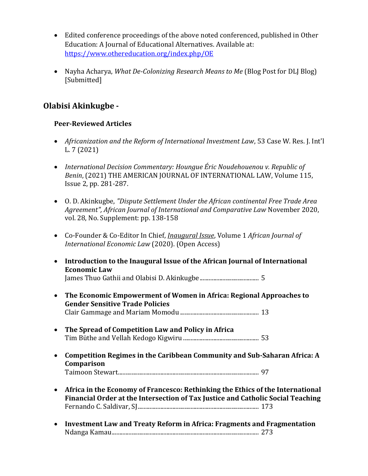- Edited conference proceedings of the above noted conferenced, published in Other Education: A Journal of Educational Alternatives. Available at: <https://www.othereducation.org/index.php/OE>
- Nayha Acharya, *What De-Colonizing Research Means to Me* (Blog Post for DLJ Blog) [Submitted]

# **Olabisi Akinkugbe -**

# **Peer-Reviewed Articles**

- *Africanization and the Reform of International Investment Law*, 53 Case W. Res. J. Int'l L. 7 (2021)
- *International Decision Commentary: Houngue Éric Noudehouenou v. Republic of Benin*, (2021) THE AMERICAN JOURNAL OF INTERNATIONAL LAW, Volume 115, Issue 2, pp. 281-287.
- O. D. Akinkugbe, *"Dispute Settlement Under the African continental Free Trade Area Agreement", African Journal of International and Comparative Law* November 2020, vol. 28, No. Supplement: pp. 138-158
- Co-Founder & Co-Editor In Chief, *Inaugural Issue*, Volume 1 *African Journal of International Economic Law* (2020). (Open Access)
- **Introduction to the Inaugural Issue of the African Journal of International Economic Law**

James Thuo Gathii and Olabisi D. Akinkugbe....................................... 5

- **The Economic Empowerment of Women in Africa: Regional Approaches to Gender Sensitive Trade Policies**  Clair Gammage and Mariam Momodu.................................................... 13
- **The Spread of Competition Law and Policy in Africa** Tim Büthe and Vellah Kedogo Kigwiru .................................................. 53
- **Competition Regimes in the Caribbean Community and Sub-Saharan Africa: A Comparison** Taimoon Stewart............................................................................................. 97
- **Africa in the Economy of Francesco: Rethinking the Ethics of the International Financial Order at the Intersection of Tax Justice and Catholic Social Teaching** Fernando C. Saldivar, SJ................................................................................ 173
- **Investment Law and Treaty Reform in Africa: Fragments and Fragmentation** Ndanga Kamau................................................................................................. 273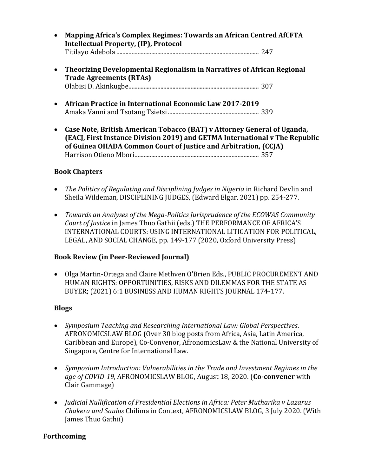- **Mapping Africa's Complex Regimes: Towards an African Centred AfCFTA Intellectual Property, (IP), Protocol** Titilayo Adebola .............................................................................................. 247
- **Theorizing Developmental Regionalism in Narratives of African Regional Trade Agreements (RTAs)**  Olabisi D. Akinkugbe...................................................................................... 307
- **African Practice in International Economic Law 2017-2019**  Amaka Vanni and Tsotang Tsietsi............................................................ 339
- **Case Note, British American Tobacco (BAT) v Attorney General of Uganda, (EACJ, First Instance Division 2019) and GETMA International v The Republic of Guinea OHADA Common Court of Justice and Arbitration, (CCJA)**  Harrison Otieno Mbori.................................................................................. 357

#### **Book Chapters**

- *The Politics of Regulating and Disciplining Judges in Nigeria* in Richard Devlin and Sheila Wildeman, DISCIPLINING JUDGES, (Edward Elgar, 2021) pp. 254-277.
- *Towards an Analyses of the Mega-Politics Jurisprudence of the ECOWAS Community Court of Justice* in James Thuo Gathii (eds.) THE PERFORMANCE OF AFRICA'S INTERNATIONAL COURTS: USING INTERNATIONAL LITIGATION FOR POLITICAL, LEGAL, AND SOCIAL CHANGE, pp. 149-177 (2020, Oxford University Press)

### **Book Review (in Peer-Reviewed Journal)**

• Olga Martin-Ortega and Claire Methven O'Brien Eds., PUBLIC PROCUREMENT AND HUMAN RIGHTS: OPPORTUNITIES, RISKS AND DILEMMAS FOR THE STATE AS BUYER; (2021) 6:1 BUSINESS AND HUMAN RIGHTS JOURNAL 174-177.

#### **Blogs**

- *Symposium Teaching and Researching International Law: Global Perspectives*. AFRONOMICSLAW BLOG (Over 30 blog posts from Africa, Asia, Latin America, Caribbean and Europe), Co-Convenor, AfronomicsLaw & the National University of Singapore, Centre for International Law.
- *Symposium Introduction: Vulnerabilities in the Trade and Investment Regimes in the age of COVID-19*, AFRONOMICSLAW BLOG, August 18, 2020. (**Co-convener** with Clair Gammage)
- *Judicial Nullification of Presidential Elections in Africa: Peter Mutharika v Lazarus Chakera and Saulos* Chilima in Context, AFRONOMICSLAW BLOG, 3 July 2020. (With James Thuo Gathii)

### **Forthcoming**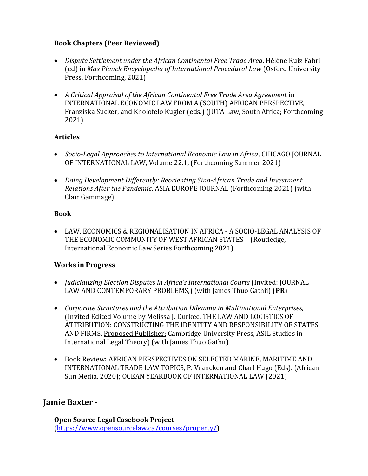### **Book Chapters (Peer Reviewed)**

- *Dispute Settlement under the African Continental Free Trade Area*, Hélène Ruiz Fabri (ed) in *Max Planck Encyclopedia of International Procedural Law* (Oxford University Press, Forthcoming, 2021)
- *A Critical Appraisal of the African Continental Free Trade Area Agreement* in INTERNATIONAL ECONOMIC LAW FROM A (SOUTH) AFRICAN PERSPECTIVE, Franziska Sucker, and Kholofelo Kugler (eds.) (JUTA Law, South Africa; Forthcoming 2021)

# **Articles**

- *Socio-Legal Approaches to International Economic Law in Africa*, CHICAGO JOURNAL OF INTERNATIONAL LAW, Volume 22.1, (Forthcoming Summer 2021)
- *Doing Development Differently: Reorienting Sino-African Trade and Investment Relations After the Pandemic*, ASIA EUROPE JOURNAL (Forthcoming 2021) (with Clair Gammage)

### **Book**

• LAW, ECONOMICS & REGIONALISATION IN AFRICA - A SOCIO-LEGAL ANALYSIS OF THE ECONOMIC COMMUNITY OF WEST AFRICAN STATES – (Routledge, International Economic Law Series Forthcoming 2021)

### **Works in Progress**

- *Judicializing Election Disputes in Africa's International Courts* (Invited: JOURNAL LAW AND CONTEMPORARY PROBLEMS,) (with James Thuo Gathii) (**PR**)
- *Corporate Structures and the Attribution Dilemma in Multinational Enterprises,* (Invited Edited Volume by Melissa J. Durkee, THE LAW AND LOGISTICS OF ATTRIBUTION: CONSTRUCTING THE IDENTITY AND RESPONSIBILITY OF STATES AND FIRMS. Proposed Publisher: Cambridge University Press, ASIL Studies in International Legal Theory) (with James Thuo Gathii)
- Book Review: AFRICAN PERSPECTIVES ON SELECTED MARINE, MARITIME AND INTERNATIONAL TRADE LAW TOPICS, P. Vrancken and Charl Hugo (Eds). (African Sun Media, 2020); OCEAN YEARBOOK OF INTERNATIONAL LAW (2021)

# **Jamie Baxter -**

**Open Source Legal Casebook Project** [\(https://www.opensourcelaw.ca/courses/property/\)](https://www.opensourcelaw.ca/courses/property/)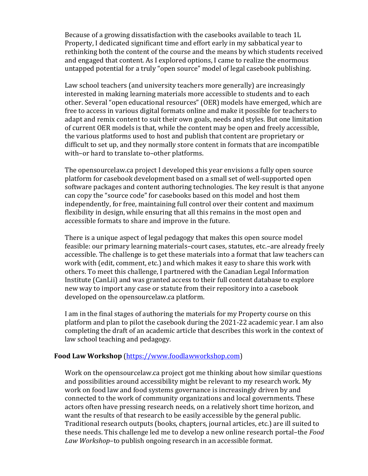Because of a growing dissatisfaction with the casebooks available to teach 1L Property, I dedicated significant time and effort early in my sabbatical year to rethinking both the content of the course and the means by which students received and engaged that content. As I explored options, I came to realize the enormous untapped potential for a truly "open source" model of legal casebook publishing.

Law school teachers (and university teachers more generally) are increasingly interested in making learning materials more accessible to students and to each other. Several "open educational resources" (OER) models have emerged, which are free to access in various digital formats online and make it possible for teachers to adapt and remix content to suit their own goals, needs and styles. But one limitation of current OER models is that, while the content may be open and freely accessible, the various platforms used to host and publish that content are proprietary or difficult to set up, and they normally store content in formats that are incompatible with–or hard to translate to–other platforms.

The opensourcelaw.ca project I developed this year envisions a fully open source platform for casebook development based on a small set of well-supported open software packages and content authoring technologies. The key result is that anyone can copy the "source code" for casebooks based on this model and host them independently, for free, maintaining full control over their content and maximum flexibility in design, while ensuring that all this remains in the most open and accessible formats to share and improve in the future.

There is a unique aspect of legal pedagogy that makes this open source model feasible: our primary learning materials–court cases, statutes, etc.–are already freely accessible. The challenge is to get these materials into a format that law teachers can work with (edit, comment, etc.) and which makes it easy to share this work with others. To meet this challenge, I partnered with the Canadian Legal Information Institute (CanLii) and was granted access to their full content database to explore new way to import any case or statute from their repository into a casebook developed on the opensourcelaw.ca platform.

I am in the final stages of authoring the materials for my Property course on this platform and plan to pilot the casebook during the 2021-22 academic year. I am also completing the draft of an academic article that describes this work in the context of law school teaching and pedagogy.

#### **Food Law Workshop** [\(https://www.foodlawworkshop.com\)](https://www.foodlawworkshop.com/)

Work on the opensourcelaw.ca project got me thinking about how similar questions and possibilities around accessibility might be relevant to my research work. My work on food law and food systems governance is increasingly driven by and connected to the work of community organizations and local governments. These actors often have pressing research needs, on a relatively short time horizon, and want the results of that research to be easily accessible by the general public. Traditional research outputs (books, chapters, journal articles, etc.) are ill suited to these needs. This challenge led me to develop a new online research portal–the *Food Law Workshop*–to publish ongoing research in an accessible format.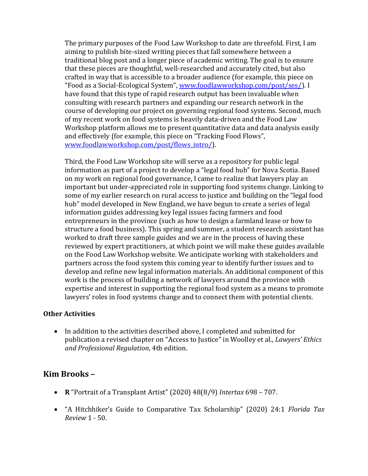The primary purposes of the Food Law Workshop to date are threefold. First, I am aiming to publish bite-sized writing pieces that fall somewhere between a traditional blog post and a longer piece of academic writing. The goal is to ensure that these pieces are thoughtful, well-researched and accurately cited, but also crafted in way that is accessible to a broader audience (for example, this piece on "Food as a Social-Ecological System", [www.foodlawworkshop.com/post/ses/\)](http://www.foodlawworkshop.com/post/ses/). I have found that this type of rapid research output has been invaluable when consulting with research partners and expanding our research network in the course of developing our project on governing regional food systems. Second, much of my recent work on food systems is heavily data-driven and the Food Law Workshop platform allows me to present quantitative data and data analysis easily and effectively (for example, this piece on "Tracking Food Flows", [www.foodlawworkshop.com/post/flows\\_intro/\)](http://www.foodlawworkshop.com/post/flows_intro/).

Third, the Food Law Workshop site will serve as a repository for public legal information as part of a project to develop a "legal food hub" for Nova Scotia. Based on my work on regional food governance, I came to realize that lawyers play an important but under-appreciated role in supporting food systems change. Linking to some of my earlier research on rural access to justice and building on the "legal food hub" model developed in New England, we have begun to create a series of legal information guides addressing key legal issues facing farmers and food entrepreneurs in the province (such as how to design a farmland lease or how to structure a food business). This spring and summer, a student research assistant has worked to draft three sample guides and we are in the process of having these reviewed by expert practitioners, at which point we will make these guides available on the Food Law Workshop website. We anticipate working with stakeholders and partners across the food system this coming year to identify further issues and to develop and refine new legal information materials. An additional component of this work is the process of building a network of lawyers around the province with expertise and interest in supporting the regional food system as a means to promote lawyers' roles in food systems change and to connect them with potential clients.

### **Other Activities**

• In addition to the activities described above, I completed and submitted for publication a revised chapter on "Access to Justice" in Woolley et al., *Lawyers' Ethics and Professional Regulation*, 4th edition.

# **Kim Brooks –**

- **R** "Portrait of a Transplant Artist" (2020) 48(8/9) *Intertax* 698 707.
- "A Hitchhiker's Guide to Comparative Tax Scholarship" (2020) 24:1 *Florida Tax Review* 1 - 50.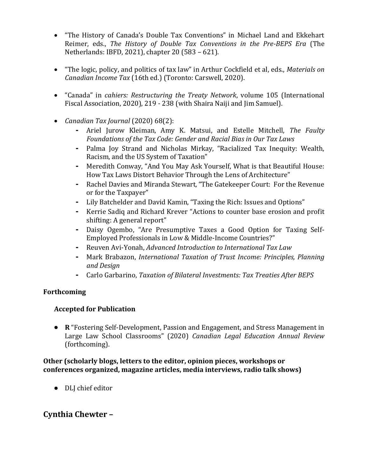- "The History of Canada's Double Tax Conventions" in Michael Land and Ekkehart Reimer, eds., *The History of Double Tax Conventions in the Pre-BEPS Era* (The Netherlands: IBFD, 2021), chapter 20 (583 – 621).
- "The logic, policy, and politics of tax law" in Arthur Cockfield et al, eds., *Materials on Canadian Income Tax* (16th ed.) (Toronto: Carswell, 2020).
- "Canada" in *cahiers: Restructuring the Treaty Network*, volume 105 (International Fiscal Association, 2020), 219 - 238 (with Shaira Naiji and Jim Samuel).
- *Canadian Tax Journal* (2020) 68(2):
	- **-** Ariel Jurow Kleiman, Amy K. Matsui, and Estelle Mitchell, *The Faulty Foundations of the Tax Code: Gender and Racial Bias in Our Tax Laws*
	- **-** Palma Joy Strand and Nicholas Mirkay, "Racialized Tax Inequity: Wealth, Racism, and the US System of Taxation"
	- **-** Meredith Conway, "And You May Ask Yourself, What is that Beautiful House: How Tax Laws Distort Behavior Through the Lens of Architecture"
	- **-** Rachel Davies and Miranda Stewart, "The Gatekeeper Court: For the Revenue or for the Taxpayer"
	- **-** Lily Batchelder and David Kamin, "Taxing the Rich: Issues and Options"
	- **-** Kerrie Sadiq and Richard Krever "Actions to counter base erosion and profit shifting: A general report"
	- **-** Daisy Ogembo, "Are Presumptive Taxes a Good Option for Taxing Self-Employed Professionals in Low & Middle-Income Countries?"
	- **-** Reuven Avi-Yonah, *Advanced Introduction to International Tax Law*
	- **-** Mark Brabazon, *International Taxation of Trust Income: Principles, Planning and Design*
	- **-** Carlo Garbarino, *Taxation of Bilateral Investments: Tax Treaties After BEPS*

### **Forthcoming**

### **Accepted for Publication**

• **R** "Fostering Self-Development, Passion and Engagement, and Stress Management in Large Law School Classrooms" (2020) *Canadian Legal Education Annual Review* (forthcoming).

#### **Other (scholarly blogs, letters to the editor, opinion pieces, workshops or conferences organized, magazine articles, media interviews, radio talk shows)**

• DLJ chief editor

# **Cynthia Chewter –**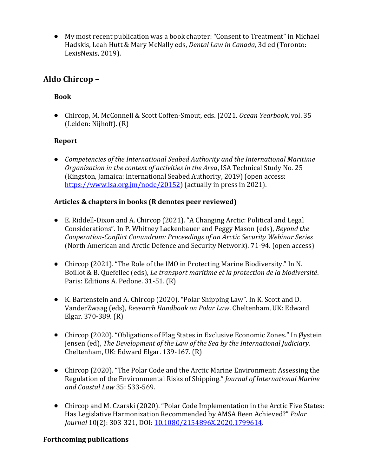• My most recent publication was a book chapter: "Consent to Treatment" in Michael Hadskis, Leah Hutt & Mary McNally eds, *Dental Law in Canada*, 3d ed (Toronto: LexisNexis, 2019).

# **Aldo Chircop –**

# **Book**

• Chircop, M. McConnell & Scott Coffen-Smout, eds. (2021. *Ocean Yearbook*, vol. 35 (Leiden: Nijhoff). (R)

### **Report**

• *Competencies of the International Seabed Authority and the International Maritime Organization in the context of activities in the Area*, ISA Technical Study No. 25 (Kingston, Jamaica: International Seabed Authority, 2019) (open access: [https://www.isa.org.jm/node/20152\)](https://www.isa.org.jm/node/20152) (actually in press in 2021).

### **Articles & chapters in books (R denotes peer reviewed)**

- E. Riddell-Dixon and A. Chircop (2021). "A Changing Arctic: Political and Legal Considerations". In P. Whitney Lackenbauer and Peggy Mason (eds), *Beyond the Cooperation-Conflict Conundrum: Proceedings of an Arctic Security Webinar Series* (North American and Arctic Defence and Security Network). 71-94. (open access)
- Chircop (2021). "The Role of the IMO in Protecting Marine Biodiversity." In N. Boillot & B. Quefellec (eds), *Le transport maritime et la protection de la biodiversité*. Paris: Editions A. Pedone. 31-51. (R)
- K. Bartenstein and A. Chircop (2020). "Polar Shipping Law". In K. Scott and D. VanderZwaag (eds), *Research Handbook on Polar Law*. Cheltenham, UK: Edward Elgar. 370-389. (R)
- Chircop (2020). "Obligations of Flag States in Exclusive Economic Zones." In Øystein Jensen (ed), *The Development of the Law of the Sea by the International Judiciary*. Cheltenham, UK: Edward Elgar. 139-167. (R)
- Chircop (2020). "The Polar Code and the Arctic Marine Environment: Assessing the Regulation of the Environmental Risks of Shipping." *Journal of International Marine and Coastal Law* 35: 533-569.
- Chircop and M. Czarski (2020). "Polar Code Implementation in the Arctic Five States: Has Legislative Harmonization Recommended by AMSA Been Achieved?" *Polar Journal* 10(2): 303-321, DOI: [10.1080/2154896X.2020.1799614.](https://www.tandfonline.com/doi/full/10.1080/2154896X.2020.1799614)

### **Forthcoming publications**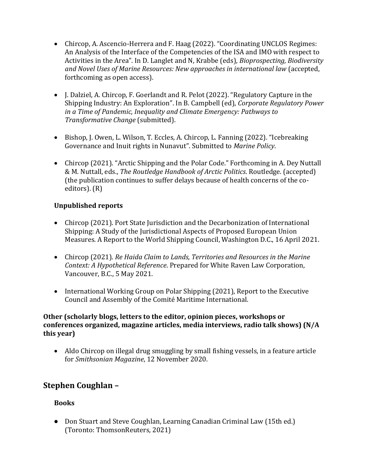- Chircop, A. Ascencio-Herrera and F. Haag (2022). "Coordinating UNCLOS Regimes: An Analysis of the Interface of the Competencies of the ISA and IMO with respect to Activities in the Area". In D. Langlet and N, Krabbe (eds), *Bioprospecting, Biodiversity and Novel Uses of Marine Resources: New approaches in international law* (accepted, forthcoming as open access).
- J. Dalziel, A. Chircop, F. Goerlandt and R. Pelot (2022). "Regulatory Capture in the Shipping Industry: An Exploration". In B. Campbell (ed), *Corporate Regulatory Power in a Time of Pandemic, Inequality and Climate Emergency: Pathways to Transformative Change* (submitted).
- Bishop, J. Owen, L. Wilson, T. Eccles, A. Chircop, L. Fanning (2022). "Icebreaking Governance and Inuit rights in Nunavut". Submitted to *Marine Policy*.
- Chircop (2021). "Arctic Shipping and the Polar Code." Forthcoming in A. Dey Nuttall & M. Nuttall, eds., *The Routledge Handbook of Arctic Politics*. Routledge. (accepted) (the publication continues to suffer delays because of health concerns of the coeditors). (R)

### **Unpublished reports**

- Chircop (2021). Port State Jurisdiction and the Decarbonization of International Shipping: A Study of the Jurisdictional Aspects of Proposed European Union Measures. A Report to the World Shipping Council, Washington D.C., 16 April 2021.
- Chircop (2021). *Re Haida Claim to Lands, Territories and Resources in the Marine Context: A Hypothetical Reference*. Prepared for White Raven Law Corporation, Vancouver, B.C., 5 May 2021.
- International Working Group on Polar Shipping (2021), Report to the Executive Council and Assembly of the Comité Maritime International.

#### **Other (scholarly blogs, letters to the editor, opinion pieces, workshops or conferences organized, magazine articles, media interviews, radio talk shows) (N/A this year)**

• Aldo Chircop on illegal drug smuggling by small fishing vessels, in a feature article for *Smithsonian Magazine*, 12 November 2020.

# **Stephen Coughlan –**

# **Books**

• Don Stuart and Steve Coughlan, Learning Canadian Criminal Law (15th ed.) (Toronto: ThomsonReuters, 2021)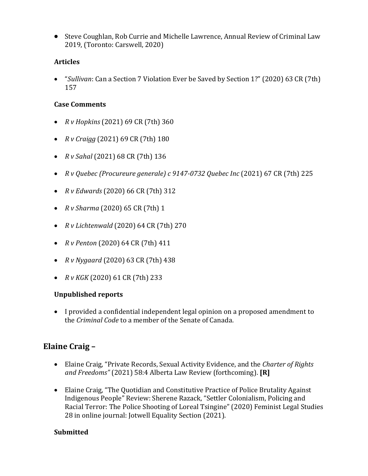• Steve Coughlan, Rob Currie and Michelle Lawrence, Annual Review of Criminal Law 2019, (Toronto: Carswell, 2020)

### **Articles**

• "*Sullivan*: Can a Section 7 Violation Ever be Saved by Section 1?" (2020) 63 CR (7th) 157

### **Case Comments**

- *R v Hopkins* (2021) 69 CR (7th) 360
- *R v Craigg* (2021) 69 CR (7th) 180
- *R v Sahal* (2021) 68 CR (7th) 136
- *R v Quebec (Procureure generale) c 9147-0732 Quebec Inc* (2021) 67 CR (7th) 225
- *R v Edwards* (2020) 66 CR (7th) 312
- *R v Sharma* (2020) 65 CR (7th) 1
- *R v Lichtenwald* (2020) 64 CR (7th) 270
- *R v Penton* (2020) 64 CR (7th) 411
- *R v Nygaard* (2020) 63 CR (7th) 438
- *R v KGK* (2020) 61 CR (7th) 233

### **Unpublished reports**

• I provided a confidential independent legal opinion on a proposed amendment to the *Criminal Code* to a member of the Senate of Canada.

# **Elaine Craig –**

- Elaine Craig, "Private Records, Sexual Activity Evidence, and the *Charter of Rights and Freedoms"* (2021) 58:4 Alberta Law Review (forthcoming). **[R]**
- Elaine Craig, "The Quotidian and Constitutive Practice of Police Brutality Against Indigenous People" Review: Sherene Razack, "Settler Colonialism, Policing and Racial Terror: The Police Shooting of Loreal Tsingine" (2020) Feminist Legal Studies 28 in online journal: Jotwell Equality Section (2021).

# **Submitted**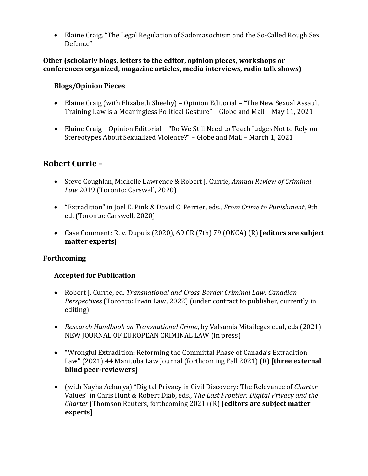• Elaine Craig, "The Legal Regulation of Sadomasochism and the So-Called Rough Sex Defence"

#### **Other (scholarly blogs, letters to the editor, opinion pieces, workshops or conferences organized, magazine articles, media interviews, radio talk shows)**

### **Blogs/Opinion Pieces**

- Elaine Craig (with Elizabeth Sheehy) Opinion Editorial "The New Sexual Assault Training Law is a Meaningless Political Gesture" – Globe and Mail – May 11, 2021
- Elaine Craig Opinion Editorial "Do We Still Need to Teach Judges Not to Rely on Stereotypes About Sexualized Violence?" – Globe and Mail – March 1, 2021

# **Robert Currie –**

- Steve Coughlan, Michelle Lawrence & Robert J. Currie, *Annual Review of Criminal Law* 2019 (Toronto: Carswell, 2020)
- "Extradition" in Joel E. Pink & David C. Perrier, eds., *From Crime to Punishment*, 9th ed. (Toronto: Carswell, 2020)
- Case Comment: R. v. Dupuis (2020), 69 CR (7th) 79 (ONCA) (R) **[editors are subject matter experts]**

### **Forthcoming**

# **Accepted for Publication**

- Robert J. Currie, ed, *Transnational and Cross-Border Criminal Law: Canadian Perspectives* (Toronto: Irwin Law, 2022) (under contract to publisher, currently in editing)
- *Research Handbook on Transnational Crime*, by Valsamis Mitsilegas et al, eds (2021) NEW JOURNAL OF EUROPEAN CRIMINAL LAW (in press)
- "Wrongful Extradition: Reforming the Committal Phase of Canada's Extradition Law" (2021) 44 Manitoba Law Journal (forthcoming Fall 2021) (R) **[three external blind peer-reviewers]**
- (with Nayha Acharya) "Digital Privacy in Civil Discovery: The Relevance of *Charter* Values" in Chris Hunt & Robert Diab, eds., *The Last Frontier: Digital Privacy and the Charter* (Thomson Reuters, forthcoming 2021) (R) **[editors are subject matter experts]**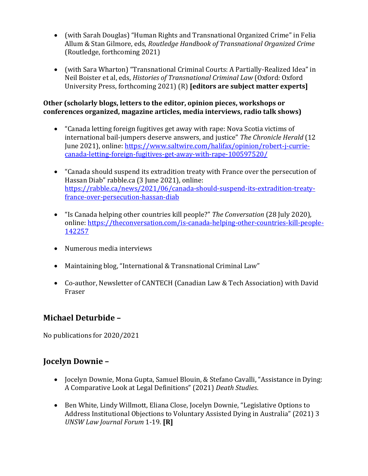- (with Sarah Douglas) "Human Rights and Transnational Organized Crime" in Felia Allum & Stan Gilmore, eds, *Routledge Handbook of Transnational Organized Crime* (Routledge, forthcoming 2021)
- (with Sara Wharton) "Transnational Criminal Courts: A Partially-Realized Idea" in Neil Boister et al, eds, *Histories of Transnational Criminal Law* (Oxford: Oxford University Press, forthcoming 2021) (R) **[editors are subject matter experts]**

### **Other (scholarly blogs, letters to the editor, opinion pieces, workshops or conferences organized, magazine articles, media interviews, radio talk shows)**

- "Canada letting foreign fugitives get away with rape: Nova Scotia victims of international bail-jumpers deserve answers, and justice" *The Chronicle Herald* (12 June 2021), online: [https://www.saltwire.com/halifax/opinion/robert-j-currie](https://www.saltwire.com/halifax/opinion/robert-j-currie-canada-letting-foreign-fugitives-get-away-with-rape-100597520/)[canada-letting-foreign-fugitives-get-away-with-rape-100597520/](https://www.saltwire.com/halifax/opinion/robert-j-currie-canada-letting-foreign-fugitives-get-away-with-rape-100597520/)
- "Canada should suspend its extradition treaty with France over the persecution of Hassan Diab" rabble.ca (3 June 2021), online: [https://rabble.ca/news/2021/06/canada-should-suspend-its-extradition-treaty](https://rabble.ca/news/2021/06/canada-should-suspend-its-extradition-treaty-france-over-persecution-hassan-diab)[france-over-persecution-hassan-diab](https://rabble.ca/news/2021/06/canada-should-suspend-its-extradition-treaty-france-over-persecution-hassan-diab)
- "Is Canada helping other countries kill people?" *The Conversation* (28 July 2020), online: [https://theconversation.com/is-canada-helping-other-countries-kill-people-](https://theconversation.com/is-canada-helping-other-countries-kill-people-142257)[142257](https://theconversation.com/is-canada-helping-other-countries-kill-people-142257)
- Numerous media interviews
- Maintaining blog, "International & Transnational Criminal Law"
- Co-author, Newsletter of CANTECH (Canadian Law & Tech Association) with David Fraser

# **Michael Deturbide –**

No publications for 2020/2021

# **Jocelyn Downie –**

- Jocelyn Downie, Mona Gupta, Samuel Blouin, & Stefano Cavalli, "Assistance in Dying: A Comparative Look at Legal Definitions" (2021) *Death Studies*.
- Ben White, Lindy Willmott, Eliana Close, Jocelyn Downie, "Legislative Options to Address Institutional Objections to Voluntary Assisted Dying in Australia" (2021) 3 *UNSW Law Journal Forum* 1-19. **[R]**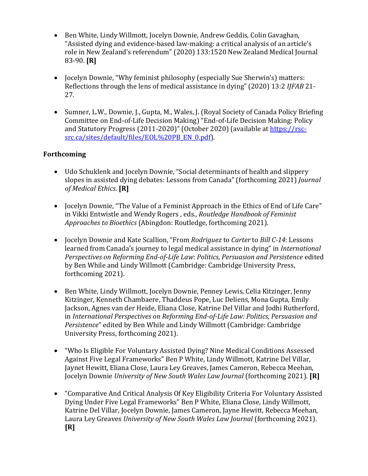- Ben White, Lindy Willmott, Jocelyn Downie, Andrew Geddis, Colin Gavaghan, "Assisted dying and evidence-based law-making: a critical analysis of an article's role in New Zealand's referendum" (2020) 133:1520 New Zealand Medical Journal 83-90. **[R]**
- Jocelyn Downie, "Why feminist philosophy (especially Sue Sherwin's) matters: Reflections through the lens of medical assistance in dying" (2020) 13:2 *IJFAB* 21- 27.
- Sumner, L.W., Downie, J., Gupta, M., Wales, J. (Royal Society of Canada Policy Briefing Committee on End-of-Life Decision Making) "End-of-Life Decision Making: Policy and Statutory Progress (2011-2020)" (October 2020) (available at [https://rsc](https://rsc-src.ca/sites/default/files/EOL%20PB_EN_0.pdf)[src.ca/sites/default/files/EOL%20PB\\_EN\\_0.pdf\)](https://rsc-src.ca/sites/default/files/EOL%20PB_EN_0.pdf).

### **Forthcoming**

- Udo Schuklenk and Jocelyn Downie, "Social determinants of health and slippery slopes in assisted dying debates: Lessons from Canada" (forthcoming 2021) *Journal of Medical Ethics*. **[R]**
- Jocelyn Downie, "The Value of a Feminist Approach in the Ethics of End of Life Care" in Vikki Entwistle and Wendy Rogers , eds., *Routledge Handbook of Feminist Approaches to Bioethics* (Abingdon: Routledge, forthcoming 2021).
- Jocelyn Downie and Kate Scallion, "From *Rodriguez* to *Carter* to *Bill C-14*: Lessons learned from Canada's journey to legal medical assistance in dying" in *International Perspectives on Reforming End-of-Life Law: Politics, Persuasion and Persistence* edited by Ben While and Lindy Willmott (Cambridge: Cambridge University Press, forthcoming 2021).
- Ben White, Lindy Willmott, Jocelyn Downie, Penney Lewis, Celia Kitzinger, Jenny Kitzinger, Kenneth Chambaere, Thaddeus Pope, Luc Deliens, Mona Gupta, Emily Jackson, Agnes van der Heide, Eliana Close, Katrine Del Villar and Jodhi Rutherford, in *International Perspectives on Reforming End-of-Life Law: Politics, Persuasion and Persistence*" edited by Ben While and Lindy Willmott (Cambridge: Cambridge University Press, forthcoming 2021).
- "Who Is Eligible For Voluntary Assisted Dying? Nine Medical Conditions Assessed Against Five Legal Frameworks" Ben P White, Lindy Willmott, Katrine Del Villar, Jaynet Hewitt, Eliana Close, Laura Ley Greaves, James Cameron, Rebecca Meehan, Jocelyn Downie *University of New South Wales Law Journal* (forthcoming 2021). **[R]**
- "Comparative And Critical Analysis Of Key Eligibility Criteria For Voluntary Assisted Dying Under Five Legal Frameworks" Ben P White, Eliana Close, Lindy Willmott, Katrine Del Villar, Jocelyn Downie, James Cameron, Jayne Hewitt, Rebecca Meehan, Laura Ley Greaves *University of New South Wales Law Journal* (forthcoming 2021). **[R]**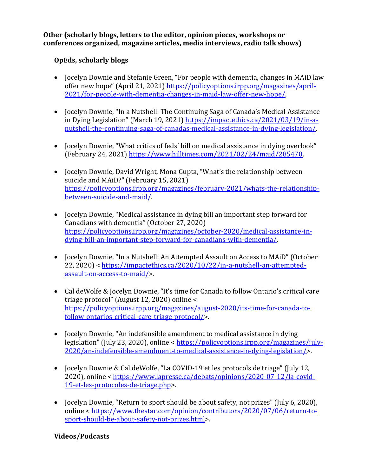**Other (scholarly blogs, letters to the editor, opinion pieces, workshops or conferences organized, magazine articles, media interviews, radio talk shows)**

### **OpEds, scholarly blogs**

- Jocelyn Downie and Stefanie Green, "For people with dementia, changes in MAiD law offer new hope" (April 21, 2021) [https://policyoptions.irpp.org/magazines/april-](https://policyoptions.irpp.org/magazines/april-2021/for-people-with-dementia-changes-in-maid-law-offer-new-hope/)[2021/for-people-with-dementia-changes-in-maid-law-offer-new-hope/.](https://policyoptions.irpp.org/magazines/april-2021/for-people-with-dementia-changes-in-maid-law-offer-new-hope/)
- Jocelyn Downie, "In a Nutshell: The Continuing Saga of Canada's Medical Assistance in Dying Legislation" (March 19, 2021) [https://impactethics.ca/2021/03/19/in-a](https://impactethics.ca/2021/03/19/in-a-nutshell-the-continuing-saga-of-canadas-medical-assistance-in-dying-legislation/)[nutshell-the-continuing-saga-of-canadas-medical-assistance-in-dying-legislation/.](https://impactethics.ca/2021/03/19/in-a-nutshell-the-continuing-saga-of-canadas-medical-assistance-in-dying-legislation/)
- Jocelyn Downie, "What critics of feds' bill on medical assistance in dying overlook" (February 24, 2021[\) https://www.hilltimes.com/2021/02/24/maid/285470.](https://www.hilltimes.com/2021/02/24/maid/285470)
- Jocelyn Downie, David Wright, Mona Gupta, "What's the relationship between suicide and MAiD?" (February 15, 2021) [https://policyoptions.irpp.org/magazines/february-2021/whats-the-relationship](https://policyoptions.irpp.org/magazines/february-2021/whats-the-relationship-between-suicide-and-maid/)[between-suicide-and-maid/.](https://policyoptions.irpp.org/magazines/february-2021/whats-the-relationship-between-suicide-and-maid/)
- Jocelyn Downie, "Medical assistance in dying bill an important step forward for Canadians with dementia" (October 27, 2020) [https://policyoptions.irpp.org/magazines/october-2020/medical-assistance-in](https://policyoptions.irpp.org/magazines/october-2020/medical-assistance-in-dying-bill-an-important-step-forward-for-canadians-with-dementia/)[dying-bill-an-important-step-forward-for-canadians-with-dementia/.](https://policyoptions.irpp.org/magazines/october-2020/medical-assistance-in-dying-bill-an-important-step-forward-for-canadians-with-dementia/)
- Jocelyn Downie, "In a Nutshell: An Attempted Assault on Access to MAiD" (October 22, 2020) < [https://impactethics.ca/2020/10/22/in-a-nutshell-an-attempted](https://impactethics.ca/2020/10/22/in-a-nutshell-an-attempted-assault-on-access-to-maid/)[assault-on-access-to-maid/>](https://impactethics.ca/2020/10/22/in-a-nutshell-an-attempted-assault-on-access-to-maid/).
- Cal deWolfe & Jocelyn Downie, "It's time for Canada to follow Ontario's critical care triage protocol" (August 12, 2020) online < [https://policyoptions.irpp.org/magazines/august-2020/its-time-for-canada-to](https://policyoptions.irpp.org/magazines/august-2020/its-time-for-canada-to-follow-ontarios-critical-care-triage-protocol/)[follow-ontarios-critical-care-triage-protocol/>](https://policyoptions.irpp.org/magazines/august-2020/its-time-for-canada-to-follow-ontarios-critical-care-triage-protocol/).
- Jocelyn Downie, "An indefensible amendment to medical assistance in dying legislation" (July 23, 2020), online < [https://policyoptions.irpp.org/magazines/july-](https://policyoptions.irpp.org/magazines/july-2020/an-indefensible-amendment-to-medical-assistance-in-dying-legislation/)[2020/an-indefensible-amendment-to-medical-assistance-in-dying-legislation/>](https://policyoptions.irpp.org/magazines/july-2020/an-indefensible-amendment-to-medical-assistance-in-dying-legislation/).
- Jocelyn Downie & Cal deWolfe, "La COVID-19 et les protocols de triage" (July 12, 2020), online < [https://www.lapresse.ca/debats/opinions/2020-07-12/la-covid-](https://www.lapresse.ca/debats/opinions/2020-07-12/la-covid-19-et-les-protocoles-de-triage.php)[19-et-les-protocoles-de-triage.php>](https://www.lapresse.ca/debats/opinions/2020-07-12/la-covid-19-et-les-protocoles-de-triage.php).
- Jocelyn Downie, "Return to sport should be about safety, not prizes" (July 6, 2020), online < [https://www.thestar.com/opinion/contributors/2020/07/06/return-to](https://www.thestar.com/opinion/contributors/2020/07/06/return-to-sport-should-be-about-safety-not-prizes.html)[sport-should-be-about-safety-not-prizes.html>](https://www.thestar.com/opinion/contributors/2020/07/06/return-to-sport-should-be-about-safety-not-prizes.html).

### **Videos/Podcasts**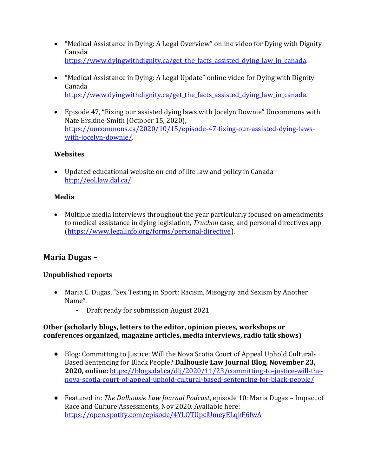- "Medical Assistance in Dying: A Legal Overview" online video for Dying with Dignity Canada [https://www.dyingwithdignity.ca/get\\_the\\_facts\\_assisted\\_dying\\_law\\_in\\_canada.](https://www.dyingwithdignity.ca/get_the_facts_assisted_dying_law_in_canada)
- "Medical Assistance in Dying: A Legal Update" online video for Dying with Dignity Canada [https://www.dyingwithdignity.ca/get\\_the\\_facts\\_assisted\\_dying\\_law\\_in\\_canada.](https://www.dyingwithdignity.ca/get_the_facts_assisted_dying_law_in_canada)
- Episode 47, "Fixing our assisted dying laws with Jocelyn Downie" Uncommons with Nate Erskine-Smith (October 15, 2020), [https://uncommons.ca/2020/10/15/episode-47-fixing-our-assisted-dying-laws](https://uncommons.ca/2020/10/15/episode-47-fixing-our-assisted-dying-laws-with-jocelyn-downie/)[with-jocelyn-downie/.](https://uncommons.ca/2020/10/15/episode-47-fixing-our-assisted-dying-laws-with-jocelyn-downie/)

#### **Websites**

• Updated educational website on end of life law and policy in Canada <http://eol.law.dal.ca/>

### **Media**

• Multiple media interviews throughout the year particularly focused on amendments to medical assistance in dying legislation, *Truchon* case, and personal directives app [\(https://www.legalinfo.org/forms/personal-directive\)](https://www.legalinfo.org/forms/personal-directive).

# **Maria Dugas –**

### **Unpublished reports**

- Maria C. Dugas, "Sex Testing in Sport: Racism, Misogyny and Sexism by Another Name".
	- **-** Draft ready for submission August 2021

#### **Other (scholarly blogs, letters to the editor, opinion pieces, workshops or conferences organized, magazine articles, media interviews, radio talk shows)**

- Blog: Committing to Justice: Will the Nova Scotia Court of Appeal Uphold Cultural-Based Sentencing for Black People? **Dalhousie Law Journal Blog, November 23, 2020, online:** [https://blogs.dal.ca/dlj/2020/11/23/committing-to-justice-will-the](https://blogs.dal.ca/dlj/2020/11/23/committing-to-justice-will-the-nova-scotia-court-of-appeal-uphold-cultural-based-sentencing-for-black-people/)[nova-scotia-court-of-appeal-uphold-cultural-based-sentencing-for-black-people/](https://blogs.dal.ca/dlj/2020/11/23/committing-to-justice-will-the-nova-scotia-court-of-appeal-uphold-cultural-based-sentencing-for-black-people/)
- Featured in: *The Dalhousie Law Journal Podcast*, episode 10: Maria Dugas Impact of Race and Culture Assessments, Nov 2020. Available here: <https://open.spotify.com/episode/4YLOTUpclUmeyELqkF6fwA>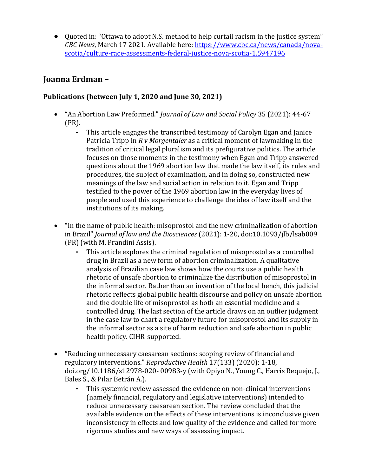• Quoted in: "Ottawa to adopt N.S. method to help curtail racism in the justice system" *CBC News*, March 17 2021. Available here: [https://www.cbc.ca/news/canada/nova](https://www.cbc.ca/news/canada/nova-scotia/culture-race-assessments-federal-justice-nova-scotia-1.5947196)[scotia/culture-race-assessments-federal-justice-nova-scotia-1.5947196](https://www.cbc.ca/news/canada/nova-scotia/culture-race-assessments-federal-justice-nova-scotia-1.5947196)

# **Joanna Erdman –**

### **Publications (between July 1, 2020 and June 30, 2021)**

- "An Abortion Law Preformed." *Journal of Law and Social Policy* 35 (2021): 44-67 (PR).
	- **-** This article engages the transcribed testimony of Carolyn Egan and Janice Patricia Tripp in *R v Morgentaler* as a critical moment of lawmaking in the tradition of critical legal pluralism and its prefigurative politics. The article focuses on those moments in the testimony when Egan and Tripp answered questions about the 1969 abortion law that made the law itself, its rules and procedures, the subject of examination, and in doing so, constructed new meanings of the law and social action in relation to it. Egan and Tripp testified to the power of the 1969 abortion law in the everyday lives of people and used this experience to challenge the idea of law itself and the institutions of its making.
- "In the name of public health: misoprostol and the new criminalization of abortion in Brazil" *Journal of law and the Biosciences* (2021): 1-20, doi:10.1093/jlb/lsab009 (PR) (with M. Prandini Assis).
	- **-** This article explores the criminal regulation of misoprostol as a controlled drug in Brazil as a new form of abortion criminalization. A qualitative analysis of Brazilian case law shows how the courts use a public health rhetoric of unsafe abortion to criminalize the distribution of misoprostol in the informal sector. Rather than an invention of the local bench, this judicial rhetoric reflects global public health discourse and policy on unsafe abortion and the double life of misoprostol as both an essential medicine and a controlled drug. The last section of the article draws on an outlier judgment in the case law to chart a regulatory future for misoprostol and its supply in the informal sector as a site of harm reduction and safe abortion in public health policy. CIHR-supported.
- "Reducing unnecessary caesarean sections: scoping review of financial and regulatory interventions." *Reproductive Health* 17(133) (2020): 1-18, doi.org/10.1186/s12978-020- 00983-y (with Opiyo N., Young C., Harris Requejo, J., Bales S., & Pilar Betrán A.).
	- **-** This systemic review assessed the evidence on non-clinical interventions (namely financial, regulatory and legislative interventions) intended to reduce unnecessary caesarean section. The review concluded that the available evidence on the effects of these interventions is inconclusive given inconsistency in effects and low quality of the evidence and called for more rigorous studies and new ways of assessing impact.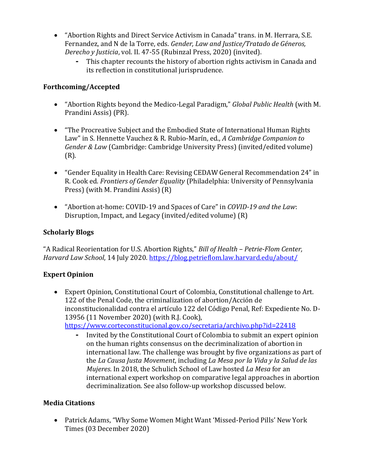- "Abortion Rights and Direct Service Activism in Canada" trans. in M. Herrara, S.E. Fernandez, and N de la Torre, eds. *Gender, Law and Justice/Tratado de Géneros, Derecho y Justicia*, vol. II. 47-55 (Rubinzal Press, 2020) (invited).
	- **-** This chapter recounts the history of abortion rights activism in Canada and its reflection in constitutional jurisprudence.

### **Forthcoming/Accepted**

- "Abortion Rights beyond the Medico-Legal Paradigm," *Global Public Health* (with M. Prandini Assis) (PR).
- "The Procreative Subject and the Embodied State of International Human Rights Law" in S. Hennette Vauchez & R. Rubio-Marín, ed., *A Cambridge Companion to Gender & Law* (Cambridge: Cambridge University Press) (invited/edited volume) (R).
- "Gender Equality in Health Care: Revising CEDAW General Recommendation 24" in R. Cook ed. *Frontiers of Gender Equality* (Philadelphia: University of Pennsylvania Press) (with M. Prandini Assis) (R)
- "Abortion at-home: COVID-19 and Spaces of Care" in *COVID-19 and the Law*: Disruption, Impact, and Legacy (invited/edited volume) (R)

### **Scholarly Blogs**

"A Radical Reorientation for U.S. Abortion Rights," *Bill of Health – Petrie-Flom Center, Harvard Law School*, 14 July 2020.<https://blog.petrieflom.law.harvard.edu/about/>

# **Expert Opinion**

• Expert Opinion, Constitutional Court of Colombia, Constitutional challenge to Art. 122 of the Penal Code, the criminalization of abortion/Acción de inconstitucionalidad contra el artículo 122 del Código Penal, Ref: Expediente No. D-13956 (11 November 2020) (with R.J. Cook),

<https://www.corteconstitucional.gov.co/secretaria/archivo.php?id=22418>

**-** Invited by the Constitutional Court of Colombia to submit an expert opinion on the human rights consensus on the decriminalization of abortion in international law. The challenge was brought by five organizations as part of the *La Causa Justa Movement*, including *La Mesa por la Vida y la Salud de las Mujeres*. In 2018, the Schulich School of Law hosted *La Mesa* for an international expert workshop on comparative legal approaches in abortion decriminalization. See also follow-up workshop discussed below.

### **Media Citations**

• Patrick Adams, "Why Some Women Might Want 'Missed-Period Pills' New York Times (03 December 2020)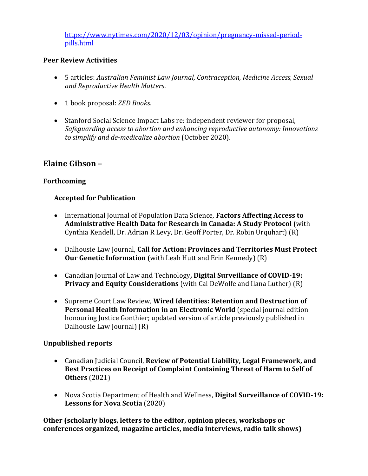[https://www.nytimes.com/2020/12/03/opinion/pregnancy-missed-period](https://www.nytimes.com/2020/12/03/opinion/pregnancy-missed-period-pills.html)[pills.html](https://www.nytimes.com/2020/12/03/opinion/pregnancy-missed-period-pills.html)

#### **Peer Review Activities**

- 5 articles: *Australian Feminist Law Journal, Contraception, Medicine Access, Sexual and Reproductive Health Matters*.
- 1 book proposal: *ZED Books*.
- Stanford Social Science Impact Labs re: independent reviewer for proposal, *Safeguarding access to abortion and enhancing reproductive autonomy: Innovations to simplify and de-medicalize abortion* (October 2020).

# **Elaine Gibson –**

### **Forthcoming**

### **Accepted for Publication**

- International Journal of Population Data Science, **Factors Affecting Access to Administrative Health Data for Research in Canada: A Study Protocol** (with Cynthia Kendell, Dr. Adrian R Levy, Dr. Geoff Porter, Dr. Robin Urquhart) (R)
- Dalhousie Law Journal, **Call for Action: Provinces and Territories Must Protect Our Genetic Information** (with Leah Hutt and Erin Kennedy) (R)
- Canadian Journal of Law and Technology**, Digital Surveillance of COVID-19: Privacy and Equity Considerations** (with Cal DeWolfe and Ilana Luther) (R)
- Supreme Court Law Review, **Wired Identities: Retention and Destruction of Personal Health Information in an Electronic World** (special journal edition honouring Justice Gonthier; updated version of article previously published in Dalhousie Law Journal) (R)

### **Unpublished reports**

- Canadian Judicial Council, **Review of Potential Liability, Legal Framework, and Best Practices on Receipt of Complaint Containing Threat of Harm to Self of Others** (2021)
- Nova Scotia Department of Health and Wellness, **Digital Surveillance of COVID-19: Lessons for Nova Scotia** (2020)

**Other (scholarly blogs, letters to the editor, opinion pieces, workshops or conferences organized, magazine articles, media interviews, radio talk shows)**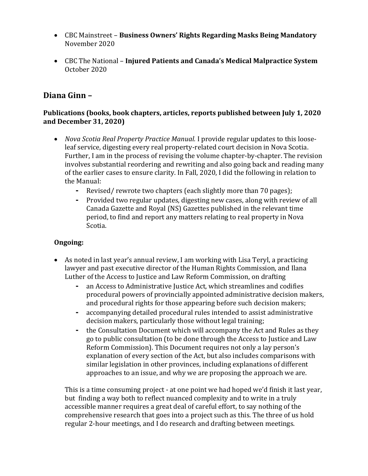- CBC Mainstreet **Business Owners' Rights Regarding Masks Being Mandatory**  November 2020
- CBC The National **Injured Patients and Canada's Medical Malpractice System**  October 2020

# **Diana Ginn –**

### **Publications (books, book chapters, articles, reports published between July 1, 2020 and December 31, 2020)**

- *Nova Scotia Real Property Practice Manual.* I provide regular updates to this looseleaf service, digesting every real property-related court decision in Nova Scotia. Further, I am in the process of revising the volume chapter-by-chapter. The revision involves substantial reordering and rewriting and also going back and reading many of the earlier cases to ensure clarity. In Fall, 2020, I did the following in relation to the Manual:
	- **-** Revised/ rewrote two chapters (each slightly more than 70 pages);
	- **-** Provided two regular updates, digesting new cases, along with review of all Canada Gazette and Royal (NS) Gazettes published in the relevant time period, to find and report any matters relating to real property in Nova Scotia.

### **Ongoing:**

- As noted in last year's annual review, I am working with Lisa Teryl, a practicing lawyer and past executive director of the Human Rights Commission, and Ilana Luther of the Access to Justice and Law Reform Commission, on drafting
	- **-** an Access to Administrative Justice Act, which streamlines and codifies procedural powers of provincially appointed administrative decision makers, and procedural rights for those appearing before such decision makers;
	- **-** accompanying detailed procedural rules intended to assist administrative decision makers, particularly those without legal training;
	- **-** the Consultation Document which will accompany the Act and Rules as they go to public consultation (to be done through the Access to Justice and Law Reform Commission). This Document requires not only a lay person's explanation of every section of the Act, but also includes comparisons with similar legislation in other provinces, including explanations of different approaches to an issue, and why we are proposing the approach we are.

This is a time consuming project - at one point we had hoped we'd finish it last year, but finding a way both to reflect nuanced complexity and to write in a truly accessible manner requires a great deal of careful effort, to say nothing of the comprehensive research that goes into a project such as this. The three of us hold regular 2-hour meetings, and I do research and drafting between meetings.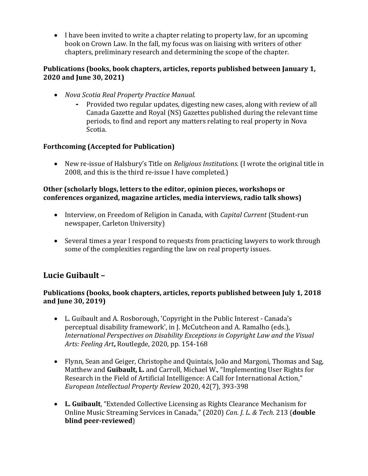• I have been invited to write a chapter relating to property law, for an upcoming book on Crown Law. In the fall, my focus was on liaising with writers of other chapters, preliminary research and determining the scope of the chapter.

### **Publications (books, book chapters, articles, reports published between January 1, 2020 and June 30, 2021)**

- *Nova Scotia Real Property Practice Manual.*
	- **-** Provided two regular updates, digesting new cases, along with review of all Canada Gazette and Royal (NS) Gazettes published during the relevant time periods, to find and report any matters relating to real property in Nova Scotia.

# **Forthcoming (Accepted for Publication)**

• New re-issue of Halsbury's Title on *Religious Institutions*. (I wrote the original title in 2008, and this is the third re-issue I have completed.)

#### **Other (scholarly blogs, letters to the editor, opinion pieces, workshops or conferences organized, magazine articles, media interviews, radio talk shows)**

- Interview, on Freedom of Religion in Canada, with *Capital Current* (Student-run newspaper, Carleton University)
- Several times a year I respond to requests from practicing lawyers to work through some of the complexities regarding the law on real property issues.

# **Lucie Guibault –**

### **Publications (books, book chapters, articles, reports published between July 1, 2018 and June 30, 2019)**

- L. Guibault and A. Rosborough, 'Copyright in the Public Interest Canada's perceptual disability framework', in J. McCutcheon and A. Ramalho (eds.), *International Perspectives on Disability Exceptions in Copyright Law and the Visual Arts: Feeling Art***,** Routlegde, 2020, pp. 154-168
- Flynn, Sean and Geiger, Christophe and Quintais, João and Margoni, Thomas and Sag, Matthew and **Guibault, L.** and Carroll, Michael W., "Implementing User Rights for Research in the Field of Artificial Intelligence: A Call for International Action," *European Intellectual Property Review* 2020, 42(7), 393-398
- **L. Guibault**, "Extended Collective Licensing as Rights Clearance Mechanism for Online Music Streaming Services in Canada," (2020) *Can. J. L. & Tech.* 213 (**double blind peer-reviewed**)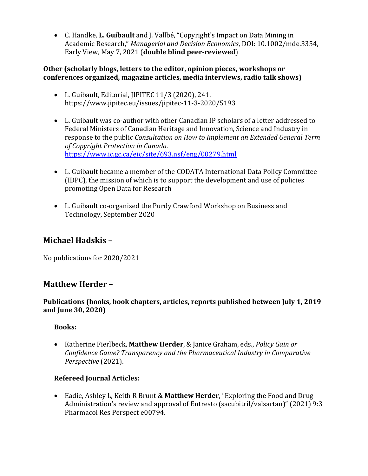• C. Handke, **L. Guibault** and J. Vallbé, "Copyright's Impact on Data Mining in Academic Research," *Managerial and Decision Economics*, DOI: 10.1002/mde.3354, Early View, May 7, 2021 (**double blind peer-reviewed**)

### **Other (scholarly blogs, letters to the editor, opinion pieces, workshops or conferences organized, magazine articles, media interviews, radio talk shows)**

- L. Guibault, Editorial, JIPITEC 11/3 (2020), 241. https://www.jipitec.eu/issues/jipitec-11-3-2020/5193
- L. Guibault was co-author with other Canadian IP scholars of a letter addressed to Federal Ministers of Canadian Heritage and Innovation, Science and Industry in response to the public *Consultation on How to Implement an Extended General Term of Copyright Protection in Canada.* <https://www.ic.gc.ca/eic/site/693.nsf/eng/00279.html>
- L. Guibault became a member of the CODATA International Data Policy Committee (IDPC), the mission of which is to support the development and use of policies promoting Open Data for Research
- L. Guibault co-organized the Purdy Crawford Workshop on Business and Technology, September 2020

# **Michael Hadskis –**

No publications for 2020/2021

# **Matthew Herder –**

### **Publications (books, book chapters, articles, reports published between July 1, 2019 and June 30, 2020)**

### **Books:**

• Katherine Fierlbeck, **Matthew Herder**, & Janice Graham, eds., *Policy Gain or Confidence Game? Transparency and the Pharmaceutical Industry in Comparative Perspective* (2021).

# **Refereed Journal Articles:**

• Eadie, Ashley L, Keith R Brunt & **Matthew Herder**, "Exploring the Food and Drug Administration's review and approval of Entresto (sacubitril/valsartan)" (2021) 9:3 Pharmacol Res Perspect e00794.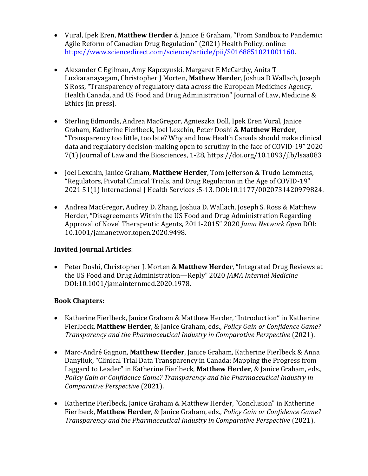- Vural, Ipek Eren, **Matthew Herder** & Janice E Graham, "From Sandbox to Pandemic: Agile Reform of Canadian Drug Regulation" (2021) Health Policy, online: [https://www.sciencedirect.com/science/article/pii/S0168851021001160.](https://www.sciencedirect.com/science/article/pii/S0168851021001160)
- Alexander C Egilman, Amy Kapczynski, Margaret E McCarthy, Anita T Luxkaranayagam, Christopher J Morten, **Mathew Herder**, Joshua D Wallach, Joseph S Ross, "Transparency of regulatory data across the European Medicines Agency, Health Canada, and US Food and Drug Administration" Journal of Law, Medicine & Ethics [in press].
- Sterling Edmonds, Andrea MacGregor, Agnieszka Doll, Ipek Eren Vural, Janice Graham, Katherine Fierlbeck, Joel Lexchin, Peter Doshi & **Matthew Herder**, "Transparency too little, too late? Why and how Health Canada should make clinical data and regulatory decision-making open to scrutiny in the face of COVID-19" 2020 7(1) Journal of Law and the Biosciences, 1-28,<https://doi.org/10.1093/jlb/lsaa083>
- Joel Lexchin, Janice Graham, **Matthew Herder**, Tom Jefferson & Trudo Lemmens, "Regulators, Pivotal Clinical Trials, and Drug Regulation in the Age of COVID-19" 2021 51(1) International J Health Services :5-13. DOI:10.1177/0020731420979824.
- Andrea MacGregor, Audrey D. Zhang, Joshua D. Wallach, Joseph S. Ross & Matthew Herder, "Disagreements Within the US Food and Drug Administration Regarding Approval of Novel Therapeutic Agents, 2011-2015" 2020 *Jama Network Open* DOI: 10.1001/jamanetworkopen.2020.9498.

### **Invited Journal Articles**:

• Peter Doshi, Christopher J. Morten & **Matthew Herder**, "Integrated Drug Reviews at the US Food and Drug Administration—Reply" 2020 *JAMA Internal Medicine*  DOI:10.1001/jamainternmed.2020.1978.

# **Book Chapters:**

- Katherine Fierlbeck, Janice Graham & Matthew Herder, "Introduction" in Katherine Fierlbeck, **Matthew Herder**, & Janice Graham, eds., *Policy Gain or Confidence Game? Transparency and the Pharmaceutical Industry in Comparative Perspective* (2021).
- Marc-André Gagnon, **Matthew Herder**, Janice Graham, Katherine Fierlbeck & Anna Danyliuk, "Clinical Trial Data Transparency in Canada: Mapping the Progress from Laggard to Leader" in Katherine Fierlbeck, **Matthew Herder**, & Janice Graham, eds., *Policy Gain or Confidence Game? Transparency and the Pharmaceutical Industry in Comparative Perspective* (2021).
- Katherine Fierlbeck, Janice Graham & Matthew Herder, "Conclusion" in Katherine Fierlbeck, **Matthew Herder**, & Janice Graham, eds., *Policy Gain or Confidence Game? Transparency and the Pharmaceutical Industry in Comparative Perspective* (2021).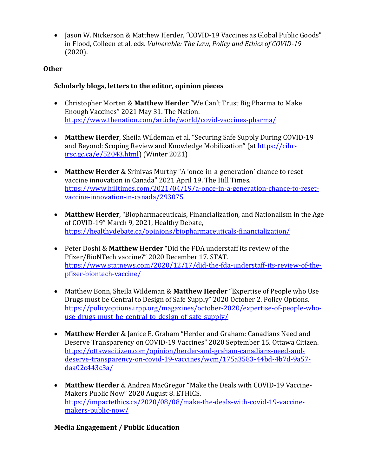• Jason W. Nickerson & Matthew Herder, "COVID-19 Vaccines as Global Public Goods" in Flood, Colleen et al, eds. *Vulnerable: The Law, Policy and Ethics of COVID-19* (2020).

#### **Other**

#### **Scholarly blogs, letters to the editor, opinion pieces**

- Christopher Morten & **Matthew Herder** "We Can't Trust Big Pharma to Make Enough Vaccines" 2021 May 31. The Nation. <https://www.thenation.com/article/world/covid-vaccines-pharma/>
- **Matthew Herder**, Sheila Wildeman et al, "Securing Safe Supply During COVID-19 and Beyond: Scoping Review and Knowledge Mobilization" (at [https://cihr](https://cihr-irsc.gc.ca/e/52043.html)[irsc.gc.ca/e/52043.html\)](https://cihr-irsc.gc.ca/e/52043.html) (Winter 2021)
- **Matthew Herder** & Srinivas Murthy "A 'once-in-a-generation' chance to reset vaccine innovation in Canada" 2021 April 19. The Hill Times. [https://www.hilltimes.com/2021/04/19/a-once-in-a-generation-chance-to-reset](https://www.hilltimes.com/2021/04/19/a-once-in-a-generation-chance-to-reset-vaccine-innovation-in-canada/293075)[vaccine-innovation-in-canada/293075](https://www.hilltimes.com/2021/04/19/a-once-in-a-generation-chance-to-reset-vaccine-innovation-in-canada/293075)
- **Matthew Herder**, "Biopharmaceuticals, Financialization, and Nationalism in the Age of COVID-19" March 9, 2021, Healthy Debate, <https://healthydebate.ca/opinions/biopharmaceuticals-financialization/>
- Peter Doshi & **Matthew Herder** "Did the FDA understaff its review of the Pfizer/BioNTech vaccine?" 2020 December 17. STAT. [https://www.statnews.com/2020/12/17/did-the-fda-understaff-its-review-of-the](https://www.statnews.com/2020/12/17/did-the-fda-understaff-its-review-of-the-pfizer-biontech-vaccine/)[pfizer-biontech-vaccine/](https://www.statnews.com/2020/12/17/did-the-fda-understaff-its-review-of-the-pfizer-biontech-vaccine/)
- Matthew Bonn, Sheila Wildeman & **Matthew Herder** "Expertise of People who Use Drugs must be Central to Design of Safe Supply" 2020 October 2. Policy Options. [https://policyoptions.irpp.org/magazines/october-2020/expertise-of-people-who](https://policyoptions.irpp.org/magazines/october-2020/expertise-of-people-who-use-drugs-must-be-central-to-design-of-safe-supply/)[use-drugs-must-be-central-to-design-of-safe-supply/](https://policyoptions.irpp.org/magazines/october-2020/expertise-of-people-who-use-drugs-must-be-central-to-design-of-safe-supply/)
- **Matthew Herder** & Janice E. Graham "Herder and Graham: Canadians Need and Deserve Transparency on COVID-19 Vaccines" 2020 September 15. Ottawa Citizen. [https://ottawacitizen.com/opinion/herder-and-graham-canadians-need-and](https://ottawacitizen.com/opinion/herder-and-graham-canadians-need-and-deserve-transparency-on-covid-19-vaccines/wcm/175a3583-44bd-4b7d-9a57-daa02c443c3a/)[deserve-transparency-on-covid-19-vaccines/wcm/175a3583-44bd-4b7d-9a57](https://ottawacitizen.com/opinion/herder-and-graham-canadians-need-and-deserve-transparency-on-covid-19-vaccines/wcm/175a3583-44bd-4b7d-9a57-daa02c443c3a/) [daa02c443c3a/](https://ottawacitizen.com/opinion/herder-and-graham-canadians-need-and-deserve-transparency-on-covid-19-vaccines/wcm/175a3583-44bd-4b7d-9a57-daa02c443c3a/)
- **Matthew Herder** & Andrea MacGregor "Make the Deals with COVID-19 Vaccine-Makers Public Now" 2020 August 8. ETHICS. [https://impactethics.ca/2020/08/08/make-the-deals-with-covid-19-vaccine](https://impactethics.ca/2020/08/08/make-the-deals-with-covid-19-vaccine-makers-public-now/)[makers-public-now/](https://impactethics.ca/2020/08/08/make-the-deals-with-covid-19-vaccine-makers-public-now/)

#### **Media Engagement / Public Education**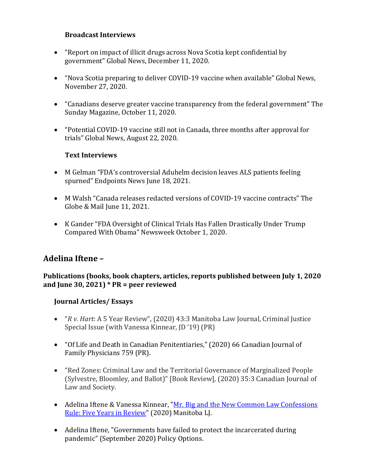#### **Broadcast Interviews**

- "Report on impact of illicit drugs across Nova Scotia kept confidential by government" Global News, December 11, 2020.
- "Nova Scotia preparing to deliver COVID-19 vaccine when available" Global News, November 27, 2020.
- "Canadians deserve greater vaccine transparency from the federal government" The Sunday Magazine, October 11, 2020.
- "Potential COVID-19 vaccine still not in Canada, three months after approval for trials" Global News, August 22, 2020.

#### **Text Interviews**

- M Gelman "FDA's controversial Aduhelm decision leaves ALS patients feeling spurned" Endpoints News June 18, 2021.
- M Walsh "Canada releases redacted versions of COVID-19 vaccine contracts" The Globe & Mail June 11, 2021.
- K Gander "FDA Oversight of Clinical Trials Has Fallen Drastically Under Trump Compared With Obama" Newsweek October 1, 2020.

# **Adelina Iftene –**

#### **Publications (books, book chapters, articles, reports published between July 1, 2020 and June 30, 2021) \* PR = peer reviewed**

#### **Journal Articles/ Essays**

- "*R v. Hart*: A 5 Year Review", (2020) 43:3 Manitoba Law Journal, Criminal Justice Special Issue (with Vanessa Kinnear, JD '19) (PR)
- "Of Life and Death in Canadian Penitentiaries," (2020) 66 Canadian Journal of Family Physicians 759 (PR).
- "Red Zones: Criminal Law and the Territorial Governance of Marginalized People (Sylvestre, Bloomley, and Ballot)" [Book Review], (2020) 35:3 Canadian Journal of Law and Society.
- Adelina Iftene & Vanessa Kinnear, "Mr. Big and the New Common Law Confessions [Rule: Five Years in Review"](https://works.bepress.com/adelina-iftene/24/) (2020) Manitoba LJ.
- Adelina Iftene, "Governments have failed to protect the incarcerated during pandemic" (September 2020) Policy Options.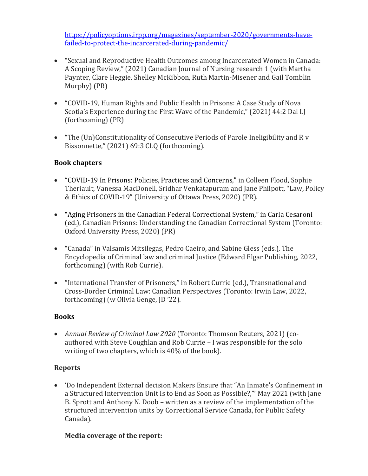[https://policyoptions.irpp.org/magazines/september-2020/governments-have](https://policyoptions.irpp.org/magazines/september-2020/governments-have-failed-to-protect-the-incarcerated-during-pandemic/)[failed-to-protect-the-incarcerated-during-pandemic/](https://policyoptions.irpp.org/magazines/september-2020/governments-have-failed-to-protect-the-incarcerated-during-pandemic/)

- "Sexual and Reproductive Health Outcomes among Incarcerated Women in Canada: A Scoping Review," (2021) Canadian Journal of Nursing research 1 (with Martha Paynter, Clare Heggie, Shelley McKibbon, Ruth Martin-Misener and Gail Tomblin Murphy) (PR)
- "COVID-19, Human Rights and Public Health in Prisons: A Case Study of Nova Scotia's Experience during the First Wave of the Pandemic," (2021) 44:2 Dal LJ (forthcoming) (PR)
- "The (Un)Constitutionality of Consecutive Periods of Parole Ineligibility and R v Bissonnette," (2021) 69:3 CLQ (forthcoming).

### **Book chapters**

- "COVID-19 In Prisons: Policies, Practices and Concerns," in Colleen Flood, Sophie Theriault, Vanessa MacDonell, Sridhar Venkatapuram and Jane Philpott, "Law, Policy & Ethics of COVID-19" (University of Ottawa Press, 2020) (PR).
- "Aging Prisoners in the Canadian Federal Correctional System," in Carla Cesaroni (ed.), Canadian Prisons: Understanding the Canadian Correctional System (Toronto: Oxford University Press, 2020) (PR)
- "Canada" in Valsamis Mitsilegas, Pedro Caeiro, and Sabine Gless (eds.), The Encyclopedia of Criminal law and criminal Justice (Edward Elgar Publishing, 2022, forthcoming) (with Rob Currie).
- "International Transfer of Prisoners," in Robert Currie (ed.), Transnational and Cross-Border Criminal Law: Canadian Perspectives (Toronto: Irwin Law, 2022, forthcoming) (w Olivia Genge, JD '22).

#### **Books**

• *Annual Review of Criminal Law 2020* (Toronto: Thomson Reuters, 2021) (coauthored with Steve Coughlan and Rob Currie – I was responsible for the solo writing of two chapters, which is 40% of the book).

### **Reports**

• 'Do Independent External decision Makers Ensure that "An Inmate's Confinement in a Structured Intervention Unit Is to End as Soon as Possible?,"' May 2021 (with Jane B. Sprott and Anthony N. Doob – written as a review of the implementation of the structured intervention units by Correctional Service Canada, for Public Safety Canada).

#### **Media coverage of the report:**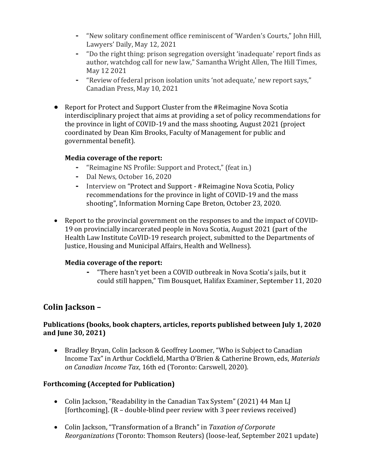- **-** "New solitary confinement office reminiscent of 'Warden's Courts," John Hill, Lawyers' Daily, May 12, 2021
- **-** "Do the right thing: prison segregation oversight 'inadequate' report finds as author, watchdog call for new law," Samantha Wright Allen, The Hill Times, May 12 2021
- **-** "Review of federal prison isolation units 'not adequate,' new report says," Canadian Press, May 10, 2021
- Report for Protect and Support Cluster from the #Reimagine Nova Scotia interdisciplinary project that aims at providing a set of policy recommendations for the province in light of COVID-19 and the mass shooting, August 2021 (project coordinated by Dean Kim Brooks, Faculty of Management for public and governmental benefit).

### **Media coverage of the report:**

- **-** "Reimagine NS Profile: Support and Protect," (feat in.)
- **-** Dal News, October 16, 2020
- **-** Interview on "Protect and Support #Reimagine Nova Scotia, Policy recommendations for the province in light of COVID-19 and the mass shooting", Information Morning Cape Breton, October 23, 2020.
- Report to the provincial government on the responses to and the impact of COVID-19 on provincially incarcerated people in Nova Scotia, August 2021 (part of the Health Law Institute CoVID-19 research project, submitted to the Departments of Justice, Housing and Municipal Affairs, Health and Wellness).

### **Media coverage of the report:**

**-** "There hasn't yet been a COVID outbreak in Nova Scotia's jails, but it could still happen," Tim Bousquet, Halifax Examiner, September 11, 2020

# **Colin Jackson –**

#### **Publications (books, book chapters, articles, reports published between July 1, 2020 and June 30, 2021)**

• Bradley Bryan, Colin Jackson & Geoffrey Loomer, "Who is Subject to Canadian Income Tax" in Arthur Cockfield, Martha O'Brien & Catherine Brown, eds, *Materials on Canadian Income Tax*, 16th ed (Toronto: Carswell, 2020).

### **Forthcoming (Accepted for Publication)**

- Colin Jackson, "Readability in the Canadian Tax System" (2021) 44 Man LJ [forthcoming]. (R – double-blind peer review with 3 peer reviews received)
- Colin Jackson, "Transformation of a Branch" in *Taxation of Corporate Reorganizations* (Toronto: Thomson Reuters) (loose-leaf, September 2021 update)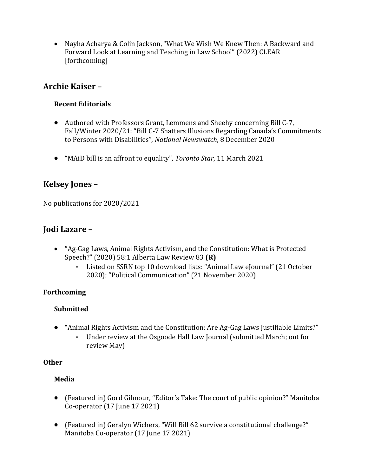• Nayha Acharya & Colin Jackson, "What We Wish We Knew Then: A Backward and Forward Look at Learning and Teaching in Law School" (2022) CLEAR [forthcoming]

# **Archie Kaiser –**

### **Recent Editorials**

- Authored with Professors Grant, Lemmens and Sheehy concerning Bill C-7, Fall/Winter 2020/21: "Bill C-7 Shatters Illusions Regarding Canada's Commitments to Persons with Disabilities", *National Newswatch*, 8 December 2020
- "MAiD bill is an affront to equality", *Toronto Star*, 11 March 2021

# **Kelsey Jones –**

No publications for 2020/2021

# **Jodi Lazare –**

- "Ag-Gag Laws, Animal Rights Activism, and the Constitution: What is Protected Speech?" (2020) 58:1 Alberta Law Review 83 **(R)**
	- **-** Listed on SSRN top 10 download lists: "Animal Law eJournal" (21 October 2020); "Political Communication" (21 November 2020)

### **Forthcoming**

### **Submitted**

- "Animal Rights Activism and the Constitution: Are Ag-Gag Laws Justifiable Limits?"
	- **-** Under review at the Osgoode Hall Law Journal (submitted March; out for review May)

### **Other**

# **Media**

- (Featured in) Gord Gilmour, "Editor's Take: The court of public opinion?" Manitoba Co-operator (17 June 17 2021)
- (Featured in) Geralyn Wichers, "Will Bill 62 survive a constitutional challenge?" Manitoba Co-operator (17 June 17 2021)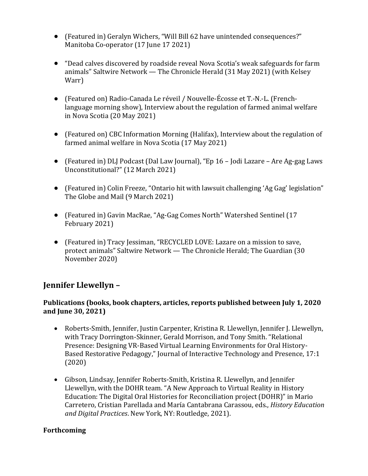- (Featured in) Geralyn Wichers, "Will Bill 62 have unintended consequences?" Manitoba Co-operator (17 June 17 2021)
- "Dead calves discovered by roadside reveal Nova Scotia's weak safeguards for farm animals" Saltwire Network — The Chronicle Herald (31 May 2021) (with Kelsey Warr)
- (Featured on) Radio-Canada Le réveil / Nouvelle-Écosse et T.-N.-L. (Frenchlanguage morning show), Interview about the regulation of farmed animal welfare in Nova Scotia (20 May 2021)
- (Featured on) CBC Information Morning (Halifax), Interview about the regulation of farmed animal welfare in Nova Scotia (17 May 2021)
- (Featured in) DLJ Podcast (Dal Law Journal), "Ep 16 Jodi Lazare Are Ag-gag Laws Unconstitutional?" (12 March 2021)
- (Featured in) Colin Freeze, "Ontario hit with lawsuit challenging 'Ag Gag' legislation" The Globe and Mail (9 March 2021)
- (Featured in) Gavin MacRae, "Ag-Gag Comes North" Watershed Sentinel (17 February 2021)
- (Featured in) Tracy Jessiman, "RECYCLED LOVE: Lazare on a mission to save, protect animals" Saltwire Network — The Chronicle Herald; The Guardian (30 November 2020)

# **Jennifer Llewellyn –**

### **Publications (books, book chapters, articles, reports published between July 1, 2020 and June 30, 2021)**

- Roberts-Smith, Jennifer, Justin Carpenter, Kristina R. Llewellyn, Jennifer J. Llewellyn, with Tracy Dorrington-Skinner, Gerald Morrison, and Tony Smith. "Relational Presence: Designing VR-Based Virtual Learning Environments for Oral History-Based Restorative Pedagogy," Journal of Interactive Technology and Presence, 17:1 (2020)
- Gibson, Lindsay, Jennifer Roberts-Smith, Kristina R. Llewellyn, and Jennifer Llewellyn, with the DOHR team. "A New Approach to Virtual Reality in History Education: The Digital Oral Histories for Reconciliation project (DOHR)" in Mario Carretero, Cristian Parellada and María Cantabrana Carassou, eds., *History Education and Digital Practices*. New York, NY: Routledge, 2021).

### **Forthcoming**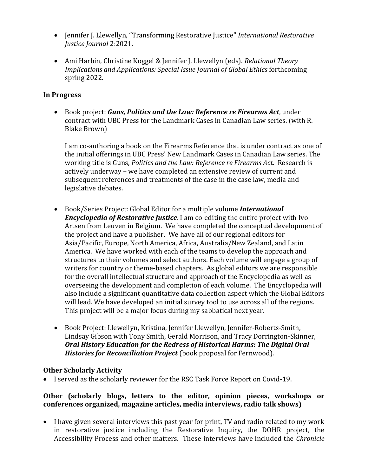- Jennifer J. Llewellyn, "Transforming Restorative Justice" *International Restorative Justice Journal* 2:2021.
- Ami Harbin, Christine Koggel & Jennifer J. Llewellyn (eds). *Relational Theory Implications and Applications: Special Issue Journal of Global Ethics* forthcoming spring 2022.

### **In Progress**

• Book project: *Guns, Politics and the Law: Reference re Firearms Act*, under contract with UBC Press for the Landmark Cases in Canadian Law series. (with R. Blake Brown)

I am co-authoring a book on the Firearms Reference that is under contract as one of the initial offerings in UBC Press' New Landmark Cases in Canadian Law series. The working title is Guns*, Politics and the Law: Reference re Firearms Act*. Research is actively underway – we have completed an extensive review of current and subsequent references and treatments of the case in the case law, media and legislative debates.

- Book/Series Project: Global Editor for a multiple volume *International Encyclopedia of Restorative Justice*. I am co-editing the entire project with Ivo Artsen from Leuven in Belgium. We have completed the conceptual development of the project and have a publisher. We have all of our regional editors for Asia/Pacific, Europe, North America, Africa, Australia/New Zealand, and Latin America. We have worked with each of the teams to develop the approach and structures to their volumes and select authors. Each volume will engage a group of writers for country or theme-based chapters. As global editors we are responsible for the overall intellectual structure and approach of the Encyclopedia as well as overseeing the development and completion of each volume. The Encyclopedia will also include a significant quantitative data collection aspect which the Global Editors will lead. We have developed an initial survey tool to use across all of the regions. This project will be a major focus during my sabbatical next year.
- Book Project: Llewellyn, Kristina, Jennifer Llewellyn, Jennifer-Roberts-Smith, Lindsay Gibson with Tony Smith, Gerald Morrison, and Tracy Dorrington-Skinner, *Oral History Education for the Redress of Historical Harms: The Digital Oral Histories for Reconciliation Project* (book proposal for Fernwood).

### **Other Scholarly Activity**

• I served as the scholarly reviewer for the RSC Task Force Report on Covid-19.

#### **Other (scholarly blogs, letters to the editor, opinion pieces, workshops or conferences organized, magazine articles, media interviews, radio talk shows)**

• I have given several interviews this past year for print, TV and radio related to my work in restorative justice including the Restorative Inquiry, the DOHR project, the Accessibility Process and other matters. These interviews have included the *Chronicle*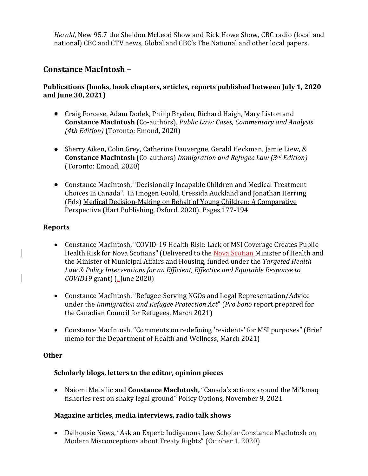*Herald*, New 95.7 the Sheldon McLeod Show and Rick Howe Show, CBC radio (local and national) CBC and CTV news, Global and CBC's The National and other local papers.

# **Constance MacIntosh –**

### **Publications (books, book chapters, articles, reports published between July 1, 2020 and June 30, 2021)**

- Craig Forcese, Adam Dodek, Philip Bryden, Richard Haigh, Mary Liston and **Constance MacIntosh** (Co-authors), *Public Law: Cases, Commentary and Analysis (4th Edition)* (Toronto: Emond, 2020)
- Sherry Aiken, Colin Grey, Catherine Dauvergne, Gerald Heckman, Jamie Liew, & **Constance MacIntosh** (Co-authors) *Immigration and Refugee Law (3rd Edition)*  (Toronto: Emond, 2020)
- Constance MacIntosh, "Decisionally Incapable Children and Medical Treatment Choices in Canada". In Imogen Goold, Cressida Auckland and Jonathan Herring (Eds) Medical Decision-Making on Behalf of Young Children: A Comparative Perspective (Hart Publishing, Oxford. 2020). Pages 177-194

#### **Reports**

 $\mathsf{l}$ 

- Constance MacIntosh, "COVID-19 Health Risk: Lack of MSI Coverage Creates Public Health Risk for Nova Scotians" (Delivered to the Nova Scotian Minister of Health and the Minister of Municipal Affairs and Housing, funded under the *Targeted Health Law & Policy Interventions for an Efficient, Effective and Equitable Response to COVID19* grant) (, June 2020)
- Constance MacIntosh, "Refugee-Serving NGOs and Legal Representation/Advice under the *Immigration and Refugee Protection Act*" (*Pro bono* report prepared for the Canadian Council for Refugees, March 2021)
- Constance MacIntosh, "Comments on redefining 'residents' for MSI purposes" (Brief memo for the Department of Health and Wellness, March 2021)

#### **Other**

#### **Scholarly blogs, letters to the editor, opinion pieces**

• Naiomi Metallic and **Constance MacIntosh,** "Canada's actions around the Mi'kmaq fisheries rest on shaky legal ground" Policy Options, November 9, 2021

#### **Magazine articles, media interviews, radio talk shows**

• Dalhousie News, "Ask an Expert: Indigenous Law Scholar Constance MacIntosh on Modern Misconceptions about Treaty Rights" (October 1, 2020)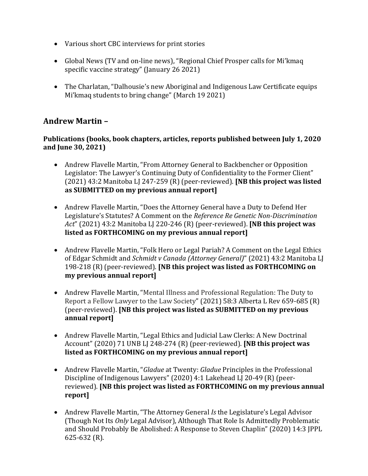- Various short CBC interviews for print stories
- Global News (TV and on-line news), "Regional Chief Prosper calls for Mi'kmaq specific vaccine strategy" (January 26 2021)
- The Charlatan, "Dalhousie's new Aboriginal and Indigenous Law Certificate equips Mi'kmaq students to bring change" (March 19 2021)

# **Andrew Martin –**

#### **Publications (books, book chapters, articles, reports published between July 1, 2020 and June 30, 2021)**

- Andrew Flavelle Martin, "From Attorney General to Backbencher or Opposition Legislator: The Lawyer's Continuing Duty of Confidentiality to the Former Client" (2021) 43:2 Manitoba LJ 247-259 (R) (peer-reviewed). **[NB this project was listed as SUBMITTED on my previous annual report]**
- Andrew Flavelle Martin, "Does the Attorney General have a Duty to Defend Her Legislature's Statutes? A Comment on the *Reference Re Genetic Non-Discrimination Act*" (2021) 43:2 Manitoba LJ 220-246 (R) (peer-reviewed). **[NB this project was listed as FORTHCOMING on my previous annual report]**
- Andrew Flavelle Martin, "Folk Hero or Legal Pariah? A Comment on the Legal Ethics of Edgar Schmidt and *Schmidt v Canada (Attorney General)*" (2021) 43:2 Manitoba LJ 198-218 (R) (peer-reviewed). **[NB this project was listed as FORTHCOMING on my previous annual report]**
- Andrew Flavelle Martin, "Mental Illness and Professional Regulation: The Duty to Report a Fellow Lawyer to the Law Society" (2021) 58:3 Alberta L Rev 659-685 (R) (peer-reviewed). **[NB this project was listed as SUBMITTED on my previous annual report]**
- Andrew Flavelle Martin, "Legal Ethics and Judicial Law Clerks: A New Doctrinal Account" (2020) 71 UNB LJ 248-274 (R) (peer-reviewed). **[NB this project was listed as FORTHCOMING on my previous annual report]**
- Andrew Flavelle Martin, "*Gladue* at Twenty: *Gladue* Principles in the Professional Discipline of Indigenous Lawyers" (2020) 4:1 Lakehead LJ 20-49 (R) (peerreviewed). **[NB this project was listed as FORTHCOMING on my previous annual report]**
- Andrew Flavelle Martin, "The Attorney General *Is* the Legislature's Legal Advisor (Though Not Its *Only* Legal Advisor), Although That Role Is Admittedly Problematic and Should Probably Be Abolished: A Response to Steven Chaplin" (2020) 14:3 JPPL 625-632 (R).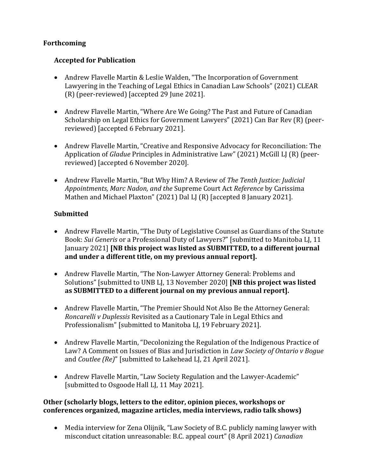### **Forthcoming**

#### **Accepted for Publication**

- Andrew Flavelle Martin & Leslie Walden, "The Incorporation of Government Lawyering in the Teaching of Legal Ethics in Canadian Law Schools" (2021) CLEAR (R) (peer-reviewed) [accepted 29 June 2021].
- Andrew Flavelle Martin, "Where Are We Going? The Past and Future of Canadian Scholarship on Legal Ethics for Government Lawyers" (2021) Can Bar Rev (R) (peerreviewed) [accepted 6 February 2021].
- Andrew Flavelle Martin, "Creative and Responsive Advocacy for Reconciliation: The Application of *Gladue* Principles in Administrative Law" (2021) McGill LJ (R) (peerreviewed) [accepted 6 November 2020].
- Andrew Flavelle Martin, "But Why Him? A Review of *The Tenth Justice: Judicial Appointments, Marc Nadon, and the* Supreme Court Act *Reference* by Carissima Mathen and Michael Plaxton" (2021) Dal LJ (R) [accepted 8 January 2021].

### **Submitted**

- Andrew Flavelle Martin, "The Duty of Legislative Counsel as Guardians of the Statute Book: *Sui Generis* or a Professional Duty of Lawyers?" [submitted to Manitoba LJ, 11 January 2021] **[NB this project was listed as SUBMITTED, to a different journal and under a different title, on my previous annual report].**
- Andrew Flavelle Martin, "The Non-Lawyer Attorney General: Problems and Solutions" [submitted to UNB LJ, 13 November 2020] **[NB this project was listed as SUBMITTED to a different journal on my previous annual report].**
- Andrew Flavelle Martin, "The Premier Should Not Also Be the Attorney General: *Roncarelli v Duplessis* Revisited as a Cautionary Tale in Legal Ethics and Professionalism" [submitted to Manitoba LJ, 19 February 2021].
- Andrew Flavelle Martin, "Decolonizing the Regulation of the Indigenous Practice of Law? A Comment on Issues of Bias and Jurisdiction in *Law Society of Ontario v Bogue* and *Coutlee (Re)*" [submitted to Lakehead LJ, 21 April 2021].
- Andrew Flavelle Martin, "Law Society Regulation and the Lawyer-Academic" [submitted to Osgoode Hall LJ, 11 May 2021].

#### **Other (scholarly blogs, letters to the editor, opinion pieces, workshops or conferences organized, magazine articles, media interviews, radio talk shows)**

• Media interview for Zena Olijnik, "Law Society of B.C. publicly naming lawyer with misconduct citation unreasonable: B.C. appeal court" (8 April 2021) *Canadian*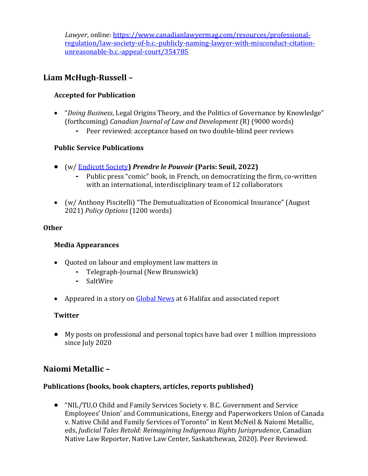*Lawyer*, online: [https://www.canadianlawyermag.com/resources/professional](https://www.canadianlawyermag.com/resources/professional-regulation/law-society-of-b.c.-publicly-naming-lawyer-with-misconduct-citation-unreasonable-b.c.-appeal-court/354785)[regulation/law-society-of-b.c.-publicly-naming-lawyer-with-misconduct-citation](https://www.canadianlawyermag.com/resources/professional-regulation/law-society-of-b.c.-publicly-naming-lawyer-with-misconduct-citation-unreasonable-b.c.-appeal-court/354785)[unreasonable-b.c.-appeal-court/354785](https://www.canadianlawyermag.com/resources/professional-regulation/law-society-of-b.c.-publicly-naming-lawyer-with-misconduct-citation-unreasonable-b.c.-appeal-court/354785)

# **Liam McHugh-Russell –**

### **Accepted for Publication**

- "*Doing Business*, Legal Origins Theory, and the Politics of Governance by Knowledge" (forthcoming) *Canadian Journal of Law and Development* (R) (9000 words)
	- **-** Peer reviewed: acceptance based on two double-blind peer reviews

### **Public Service Publications**

- (w/ [Endicott Society](https://endicottsociety.wordpress.com/)**)** *Prendre le Pouvoir* **(Paris: Seuil, 2022)** 
	- **-** Public press "comic" book, in French, on democratizing the firm, co-written with an international, interdisciplinary team of 12 collaborators
- (w/ Anthony Piscitelli) "The Demutualization of Economical Insurance" (August 2021) *Policy Options* (1200 words)

### **Other**

### **Media Appearances**

- Quoted on labour and employment law matters in
	- **-** Telegraph-Journal (New Brunswick)
	- **-** SaltWire
- Appeared in a story on [Global News](https://globalnews.ca/news/7393924/canada-supreme-court-workplace-bonuses/) at 6 Halifax and associated report

### **Twitter**

• My posts on professional and personal topics have had over 1 million impressions since July 2020

# **Naiomi Metallic –**

### **Publications (books, book chapters, articles, reports published)**

• "NIL/TU,O Child and Family Services Society v. B.C. Government and Service Employees' Union' and Communications, Energy and Paperworkers Union of Canada v. Native Child and Family Services of Toronto" in Kent McNeil & Naiomi Metallic, eds, *Judicial Tales Retold: Reimagining Indigenous Rights Jurisprudence*, Canadian Native Law Reporter, Native Law Center, Saskatchewan, 2020). Peer Reviewed.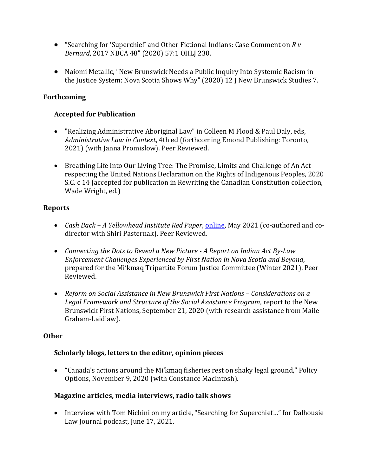- "Searching for 'Superchief' and Other Fictional Indians: Case Comment on *R v Bernard*, 2017 NBCA 48" (2020) 57:1 OHLJ 230.
- Naiomi Metallic, "New Brunswick Needs a Public Inquiry Into Systemic Racism in the Justice System: Nova Scotia Shows Why" (2020) 12 J New Brunswick Studies 7.

#### **Forthcoming**

#### **Accepted for Publication**

- "Realizing Administrative Aboriginal Law" in Colleen M Flood & Paul Daly, eds, *Administrative Law in Context*, 4th ed (forthcoming Emond Publishing: Toronto, 2021) (with Janna Promislow). Peer Reviewed.
- Breathing Life into Our Living Tree: The Promise, Limits and Challenge of An Act respecting the United Nations Declaration on the Rights of Indigenous Peoples, 2020 S.C. c 14 (accepted for publication in Rewriting the Canadian Constitution collection, Wade Wright, ed.)

#### **Reports**

- *Cash Back – A Yellowhead Institute Red Paper*[, online,](https://cashback.yellowheadinstitute.org/) May 2021 (co-authored and codirector with Shiri Pasternak). Peer Reviewed.
- *Connecting the Dots to Reveal a New Picture - A Report on Indian Act By-Law Enforcement Challenges Experienced by First Nation in Nova Scotia and Beyond*, prepared for the Mi'kmaq Tripartite Forum Justice Committee (Winter 2021). Peer Reviewed.
- *Reform on Social Assistance in New Brunswick First Nations – Considerations on a Legal Framework and Structure of the Social Assistance Program*, report to the New Brunswick First Nations, September 21, 2020 (with research assistance from Maile Graham-Laidlaw).

#### **Other**

#### **Scholarly blogs, letters to the editor, opinion pieces**

• "Canada's actions around the Mi'kmaq fisheries rest on shaky legal ground," Policy Options, November 9, 2020 (with Constance MacIntosh).

#### **Magazine articles, media interviews, radio talk shows**

• Interview with Tom Nichini on my article, "Searching for Superchief..." for Dalhousie Law Journal podcast, June 17, 2021.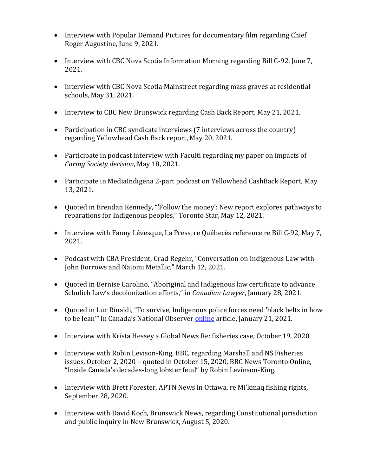- Interview with Popular Demand Pictures for documentary film regarding Chief Roger Augustine, June 9, 2021.
- Interview with CBC Nova Scotia Information Morning regarding Bill C-92, June 7, 2021.
- Interview with CBC Nova Scotia Mainstreet regarding mass graves at residential schools, May 31, 2021.
- Interview to CBC New Brunswick regarding Cash Back Report, May 21, 2021.
- Participation in CBC syndicate interviews (7 interviews across the country) regarding Yellowhead Cash Back report, May 20, 2021.
- Participate in podcast interview with Faculti regarding my paper on impacts of *Caring Society decision*, May 18, 2021.
- Participate in MediaIndigena 2-part podcast on Yellowhead CashBack Report, May 13, 2021.
- Quoted in Brendan Kennedy, "'Follow the money': New report explores pathways to reparations for Indigenous peoples," Toronto Star, May 12, 2021.
- Interview with Fanny Lévesque, La Press, re Québecès reference re Bill C-92, May 7, 2021.
- Podcast with CBA President, Grad Regehr, "Conversation on Indigenous Law with John Borrows and Naiomi Metallic," March 12, 2021.
- Quoted in Bernise Carolino, "Aboriginal and Indigenous law certificate to advance Schulich Law's decolonization efforts," in *Canadian Lawyer*, January 28, 2021.
- Quoted in Luc Rinaldi, "To survive, Indigenous police forces need 'black belts in how to be lean'" in Canada's National Observer [online](https://www.nationalobserver.com/2021/01/21/features/indigenous-police-forces-essential-service-funding) article, January 21, 2021.
- Interview with Krista Hessey a Global News Re: fisheries case, October 19, 2020
- Interview with Robin Levison-King, BBC, regarding Marshall and NS Fisheries issues, October 2, 2020 – quoted in October 15, 2020, BBC News Toronto Online, "Inside Canada's decades-long lobster feud" by Robin Levinson-King.
- Interview with Brett Forester, APTN News in Ottawa, re Mi'kmaq fishing rights, September 28, 2020.
- Interview with David Koch, Brunswick News, regarding Constitutional jurisdiction and public inquiry in New Brunswick, August 5, 2020.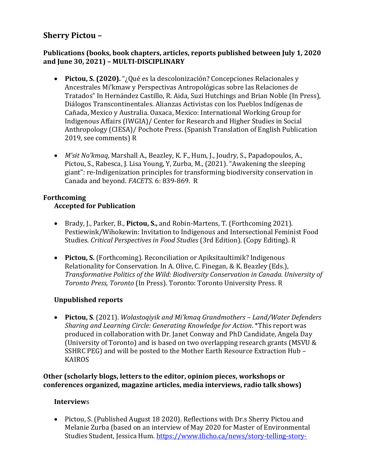# **Sherry Pictou –**

#### **Publications (books, book chapters, articles, reports published between July 1, 2020 and June 30, 2021) – MULTI-DISCIPLINARY**

- **Pictou, S. (2020).** "¿Qué es la descolonización? Concepciones Relacionales y Ancestrales Mi'kmaw y Perspectivas Antropológicas sobre las Relaciones de Tratados" In Hernández Castillo, R. Aida, Suzi Hutchings and Brian Noble (In Press), Diálogos Transcontinentales. Alianzas Activistas con los Pueblos Indígenas de Cañada, Mexico y Australia. Oaxaca, Mexico: International Working Group for Indigenous Affairs (IWGIA)/ Center for Research and Higher Studies in Social Anthropology (CIESA)/ Pochote Press. (Spanish Translation of English Publication 2019, see comments) R
- *M'sɨt No'kmaq*, Marshall A., Beazley, K. F., Hum, J., Joudry, S., Papadopoulos, A., Pictou, S., Rabesca, J. Lisa Young, Y, Zurba, M., (2021). "Awakening the sleeping giant": re-Indigenization principles for transforming biodiversity conservation in Canada and beyond. *FACETS*. 6: 839-869. R

# **Forthcoming**

### **Accepted for Publication**

- Brady, J., Parker, B., **Pictou, S.,** and Robin-Martens, T. (Forthcoming 2021). Pestiewink/Wihokewin: Invitation to Indigenous and Intersectional Feminist Food Studies. *Critical Perspectives in Food Studies* (3rd Edition). (Copy Editing). R
- **Pictou, S.** (Forthcoming). Reconciliation or Apiksitaultimik? Indigenous Relationality for Conservation. In A. Olive, C. Finegan, & K. Beazley (Eds.), *Transformative Politics of the Wild: Biodiversity Conservation in Canada. University of Toronto Press, Toronto* (In Press). Toronto: Toronto University Press. R

# **Unpublished reports**

• **Pictou, S**. (2021). *Wolastoqiyik and Mi'kmaq Grandmothers – Land/Water Defenders Sharing and Learning Circle: Generating Knowledge for Action*. \*This report was produced in collaboration with Dr. Janet Conway and PhD Candidate, Angela Day (University of Toronto) and is based on two overlapping research grants (MSVU & SSHRC PEG) and will be posted to the Mother Earth Resource Extraction Hub – KAIROS

**Other (scholarly blogs, letters to the editor, opinion pieces, workshops or conferences organized, magazine articles, media interviews, radio talk shows)**

### **Interview**s

• Pictou, S. (Published August 18 2020). Reflections with Dr.s Sherry Pictou and Melanie Zurba (based on an interview of May 2020 for Master of Environmental Studies Student, Jessica Hum. [https://www.tlicho.ca/news/story-telling-story-](https://www.tlicho.ca/news/story-telling-story-listening-decolonizing-research?fbclid=IwAR18-aV4wGQgbVitjwLanKQlXfEOCWX5rwD9CFB2CtwWVb7Q7-wUkMrHPIo)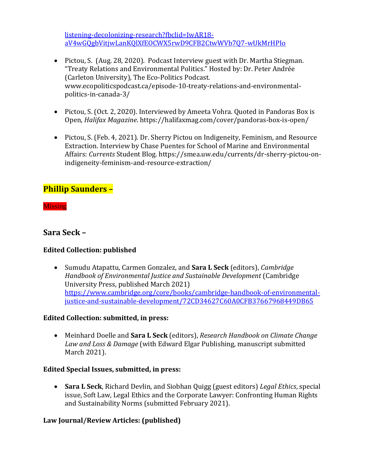[listening-decolonizing-research?fbclid=IwAR18](https://www.tlicho.ca/news/story-telling-story-listening-decolonizing-research?fbclid=IwAR18-aV4wGQgbVitjwLanKQlXfEOCWX5rwD9CFB2CtwWVb7Q7-wUkMrHPIo) [aV4wGQgbVitjwLanKQlXfEOCWX5rwD9CFB2CtwWVb7Q7-wUkMrHPIo](https://www.tlicho.ca/news/story-telling-story-listening-decolonizing-research?fbclid=IwAR18-aV4wGQgbVitjwLanKQlXfEOCWX5rwD9CFB2CtwWVb7Q7-wUkMrHPIo)

- Pictou, S. (Aug. 28, 2020). Podcast Interview guest with Dr. Martha Stiegman. "Treaty Relations and Environmental Politics." Hosted by: Dr. Peter Andrée (Carleton University), The Eco-Politics Podcast. www.ecopoliticspodcast.ca/episode-10-treaty-relations-and-environmentalpolitics-in-canada-3/
- Pictou, S. (Oct. 2, 2020). Interviewed by Ameeta Vohra. Quoted in Pandoras Box is Open, *Halifax Magazine*. https://halifaxmag.com/cover/pandoras-box-is-open/
- Pictou, S. (Feb. 4, 2021). Dr. Sherry Pictou on Indigeneity, Feminism, and Resource Extraction. Interview by Chase Puentes for School of Marine and Environmental Affairs: *Currents* Student Blog. https://smea.uw.edu/currents/dr-sherry-pictou-onindigeneity-feminism-and-resource-extraction/

# **Phillip Saunders –**

**Missing** 

# **Sara Seck –**

### **Edited Collection: published**

• Sumudu Atapattu, Carmen Gonzalez, and **Sara L Seck** (editors), *Cambridge Handbook of Environmental Justice and Sustainable Development* (Cambridge University Press, published March 2021) [https://www.cambridge.org/core/books/cambridge-handbook-of-environmental](https://www.cambridge.org/core/books/cambridge-handbook-of-environmental-justice-and-sustainable-development/72CD34627C60A0CFB37667968449DB65)[justice-and-sustainable-development/72CD34627C60A0CFB37667968449DB65](https://www.cambridge.org/core/books/cambridge-handbook-of-environmental-justice-and-sustainable-development/72CD34627C60A0CFB37667968449DB65)

#### **Edited Collection: submitted, in press:**

• Meinhard Doelle and **Sara L Seck** (editors), *Research Handbook on Climate Change Law and Loss & Damage* (with Edward Elgar Publishing, manuscript submitted March 2021).

#### **Edited Special Issues, submitted, in press:**

• **Sara L Seck**, Richard Devlin, and Siobhan Quigg (guest editors) *Legal Ethics*, special issue, Soft Law, Legal Ethics and the Corporate Lawyer: Confronting Human Rights and Sustainability Norms (submitted February 2021).

### **Law Journal/Review Articles: (published)**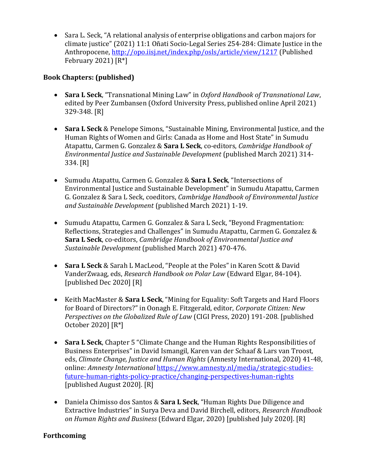• Sara L. Seck, "A relational analysis of enterprise obligations and carbon majors for climate justice" (2021) 11:1 Oñati Socio-Legal Series 254-284: Climate Justice in the Anthropocene,<http://opo.iisj.net/index.php/osls/article/view/1217> (Published February 2021)  $[R^*]$ 

#### **Book Chapters: (published)**

- **Sara L Seck**, "Transnational Mining Law" in *Oxford Handbook of Transnational Law*, edited by Peer Zumbansen (Oxford University Press, published online April 2021) 329-348. [R]
- **Sara L Seck** & Penelope Simons, "Sustainable Mining, Environmental Justice, and the Human Rights of Women and Girls: Canada as Home and Host State" in Sumudu Atapattu, Carmen G. Gonzalez & **Sara L Seck**, co-editors, *Cambridge Handbook of Environmental Justice and Sustainable Development* (published March 2021) 314- 334. [R]
- Sumudu Atapattu, Carmen G. Gonzalez & **Sara L Seck**, "Intersections of Environmental Justice and Sustainable Development" in Sumudu Atapattu, Carmen G. Gonzalez & Sara L Seck, coeditors, *Cambridge Handbook of Environmental Justice and Sustainable Development* (published March 2021) 1-19.
- Sumudu Atapattu, Carmen G. Gonzalez & Sara L Seck, "Beyond Fragmentation: Reflections, Strategies and Challenges" in Sumudu Atapattu, Carmen G. Gonzalez & **Sara L Seck**, co-editors, *Cambridge Handbook of Environmental Justice and Sustainable Development* (published March 2021) 470-476.
- **Sara L Seck** & Sarah L MacLeod, "People at the Poles" in Karen Scott & David VanderZwaag, eds, *Research Handbook on Polar Law* (Edward Elgar, 84-104). [published Dec 2020] [R]
- Keith MacMaster & **Sara L Seck**, "Mining for Equality: Soft Targets and Hard Floors for Board of Directors?" in Oonagh E. Fitzgerald, editor, *Corporate Citizen: New Perspectives on the Globalized Rule of Law* (CIGI Press, 2020) 191-208. [published October 2020] [R\*]
- **Sara L Seck**, Chapter 5 "Climate Change and the Human Rights Responsibilities of Business Enterprises" in David Ismangil, Karen van der Schaaf & Lars van Troost, eds, *Climate Change, Justice and Human Rights* (Amnesty International, 2020) 41-48, online: *Amnesty International* [https://www.amnesty.nl/media/strategic-studies](https://www.amnesty.nl/media/strategic-studies-future-human-rights-policy-practice/changing-perspectives-human-rights)[future-human-rights-policy-practice/changing-perspectives-human-rights](https://www.amnesty.nl/media/strategic-studies-future-human-rights-policy-practice/changing-perspectives-human-rights) [published August 2020]. [R]
- Daniela Chimisso dos Santos & **Sara L Seck**, "Human Rights Due Diligence and Extractive Industries" in Surya Deva and David Birchell, editors, *Research Handbook on Human Rights and Business* (Edward Elgar, 2020) [published July 2020]. [R]

#### **Forthcoming**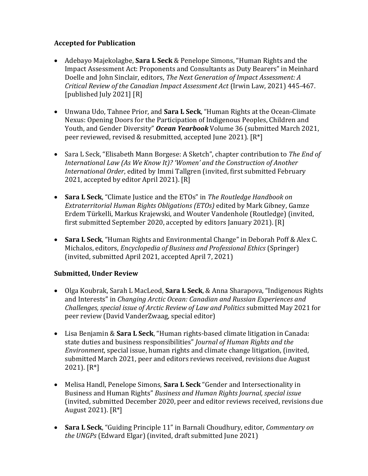### **Accepted for Publication**

- Adebayo Majekolagbe, **Sara L Seck** & Penelope Simons, "Human Rights and the Impact Assessment Act: Proponents and Consultants as Duty Bearers" in Meinhard Doelle and John Sinclair, editors, *The Next Generation of Impact Assessment: A Critical Review of the Canadian Impact Assessment Act* (Irwin Law, 2021) 445-467. [published July 2021] [R]
- Unwana Udo, Tahnee Prior, and **Sara L Seck**, "Human Rights at the Ocean-Climate Nexus: Opening Doors for the Participation of Indigenous Peoples, Children and Youth, and Gender Diversity" *Ocean Yearbook* Volume 36 (submitted March 2021, peer reviewed, revised & resubmitted, accepted June 2021). [R\*]
- Sara L Seck, "Elisabeth Mann Borgese: A Sketch", chapter contribution to *The End of International Law (As We Know It)? 'Women' and the Construction of Another International Order*, edited by Immi Tallgren (invited, first submitted February 2021, accepted by editor April 2021). [R]
- **Sara L Seck**, "Climate Justice and the ETOs" in *The Routledge Handbook on Extraterritorial Human Rights Obligations (ETOs)* edited by Mark Gibney, Gamze Erdem Türkelli, Markus Krajewski, and Wouter Vandenhole (Routledge) (invited, first submitted September 2020, accepted by editors January 2021). [R]
- **Sara L Seck**, "Human Rights and Environmental Change" in Deborah Poff & Alex C. Michalos, editors, *Encyclopedia of Business and Professional Ethics* (Springer) (invited, submitted April 2021, accepted April 7, 2021)

### **Submitted, Under Review**

- Olga Koubrak, Sarah L MacLeod, **Sara L Seck**, & Anna Sharapova, "Indigenous Rights and Interests" in *Changing Arctic Ocean: Canadian and Russian Experiences and Challenges, special issue of Arctic Review of Law and Politics* submitted May 2021 for peer review (David VanderZwaag, special editor)
- Lisa Benjamin & **Sara L Seck**, "Human rights-based climate litigation in Canada: state duties and business responsibilities" *Journal of Human Rights and the Environment*, special issue, human rights and climate change litigation, (invited, submitted March 2021, peer and editors reviews received, revisions due August 2021). [R\*]
- Melisa Handl, Penelope Simons, **Sara L Seck** "Gender and Intersectionality in Business and Human Rights" *Business and Human Rights Journal, special issue* (invited, submitted December 2020, peer and editor reviews received, revisions due August 2021). [R\*]
- **Sara L Seck**, "Guiding Principle 11" in Barnali Choudhury, editor, *Commentary on the UNGPs* (Edward Elgar) (invited, draft submitted June 2021)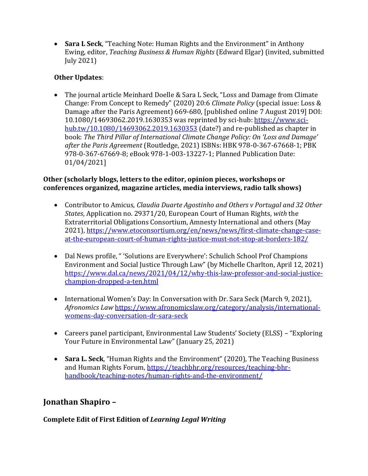• **Sara L Seck**, "Teaching Note: Human Rights and the Environment" in Anthony Ewing, editor, *Teaching Business & Human Rights* (Edward Elgar) (invited, submitted July 2021)

# **Other Updates**:

• The journal article Meinhard Doelle & Sara L Seck, "Loss and Damage from Climate Change: From Concept to Remedy" (2020) 20:6 *Climate Policy* (special issue: Loss & Damage after the Paris Agreement) 669-680, [published online 7 August 2019] DOI: 10.1080/14693062.2019.1630353 was reprinted by sci-hub: [https://www.sci](https://www.sci-hub.tw/10.1080/14693062.2019.1630353)[hub.tw/10.1080/14693062.2019.1630353](https://www.sci-hub.tw/10.1080/14693062.2019.1630353) (date?) and re-published as chapter in book: *The Third Pillar of International Climate Change Policy: On 'Loss and Damage' after the Paris Agreement* (Routledge, 2021) ISBNs: HBK 978-0-367-67668-1; PBK 978-0-367-67669-8; eBook 978-1-003-13227-1; Planned Publication Date: 01/04/2021]

### **Other (scholarly blogs, letters to the editor, opinion pieces, workshops or conferences organized, magazine articles, media interviews, radio talk shows)**

- Contributor to Amicus, *Claudia Duarte Agostinho and Others v Portugal and 32 Other States*, Application no. 29371/20, European Court of Human Rights, *with* the Extraterritorial Obligations Consortium, Amnesty International and others (May 2021), [https://www.etoconsortium.org/en/news/news/first-climate-change-case](https://www.etoconsortium.org/en/news/news/first-climate-change-case-at-the-european-court-of-human-rights-justice-must-not-stop-at-borders-182/)[at-the-european-court-of-human-rights-justice-must-not-stop-at-borders-182/](https://www.etoconsortium.org/en/news/news/first-climate-change-case-at-the-european-court-of-human-rights-justice-must-not-stop-at-borders-182/)
- Dal News profile, " 'Solutions are Everywhere': Schulich School Prof Champions Environment and Social Justice Through Law" (by Michelle Charlton, April 12, 2021) [https://www.dal.ca/news/2021/04/12/why-this-law-professor-and-social-justice](https://www.dal.ca/news/2021/04/12/why-this-law-professor-and-social-justice-champion-dropped-a-ten.html)[champion-dropped-a-ten.html](https://www.dal.ca/news/2021/04/12/why-this-law-professor-and-social-justice-champion-dropped-a-ten.html)
- International Women's Day: In Conversation with Dr. Sara Seck (March 9, 2021), *Afronomics Law* [https://www.afronomicslaw.org/category/analysis/international](https://www.afronomicslaw.org/category/analysis/international-womens-day-conversation-dr-sara-seck)[womens-day-conversation-dr-sara-seck](https://www.afronomicslaw.org/category/analysis/international-womens-day-conversation-dr-sara-seck)
- Careers panel participant, Environmental Law Students' Society (ELSS) "Exploring Your Future in Environmental Law" (January 25, 2021)
- **Sara L. Seck**, "Human Rights and the Environment" (2020), The Teaching Business and Human Rights Forum, [https://teachbhr.org/resources/teaching-bhr](https://teachbhr.org/resources/teaching-bhr-handbook/teaching-notes/human-rights-and-the-environment/)[handbook/teaching-notes/human-rights-and-the-environment/](https://teachbhr.org/resources/teaching-bhr-handbook/teaching-notes/human-rights-and-the-environment/)

# **Jonathan Shapiro –**

# **Complete Edit of First Edition of** *Learning Legal Writing*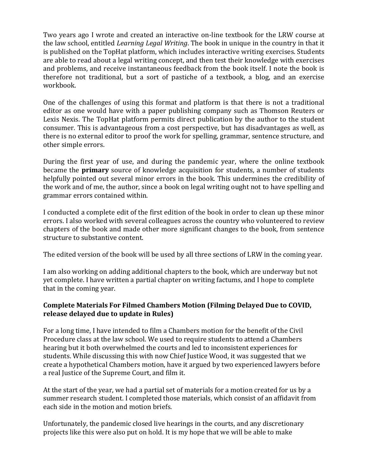Two years ago I wrote and created an interactive on-line textbook for the LRW course at the law school, entitled *Learning Legal Writing*. The book in unique in the country in that it is published on the TopHat platform, which includes interactive writing exercises. Students are able to read about a legal writing concept, and then test their knowledge with exercises and problems, and receive instantaneous feedback from the book itself. I note the book is therefore not traditional, but a sort of pastiche of a textbook, a blog, and an exercise workbook.

One of the challenges of using this format and platform is that there is not a traditional editor as one would have with a paper publishing company such as Thomson Reuters or Lexis Nexis. The TopHat platform permits direct publication by the author to the student consumer. This is advantageous from a cost perspective, but has disadvantages as well, as there is no external editor to proof the work for spelling, grammar, sentence structure, and other simple errors.

During the first year of use, and during the pandemic year, where the online textbook became the **primary** source of knowledge acquisition for students, a number of students helpfully pointed out several minor errors in the book. This undermines the credibility of the work and of me, the author, since a book on legal writing ought not to have spelling and grammar errors contained within.

I conducted a complete edit of the first edition of the book in order to clean up these minor errors. I also worked with several colleagues across the country who volunteered to review chapters of the book and made other more significant changes to the book, from sentence structure to substantive content.

The edited version of the book will be used by all three sections of LRW in the coming year.

I am also working on adding additional chapters to the book, which are underway but not yet complete. I have written a partial chapter on writing factums, and I hope to complete that in the coming year.

### **Complete Materials For Filmed Chambers Motion (Filming Delayed Due to COVID, release delayed due to update in Rules)**

For a long time, I have intended to film a Chambers motion for the benefit of the Civil Procedure class at the law school. We used to require students to attend a Chambers hearing but it both overwhelmed the courts and led to inconsistent experiences for students. While discussing this with now Chief Justice Wood, it was suggested that we create a hypothetical Chambers motion, have it argued by two experienced lawyers before a real Justice of the Supreme Court, and film it.

At the start of the year, we had a partial set of materials for a motion created for us by a summer research student. I completed those materials, which consist of an affidavit from each side in the motion and motion briefs.

Unfortunately, the pandemic closed live hearings in the courts, and any discretionary projects like this were also put on hold. It is my hope that we will be able to make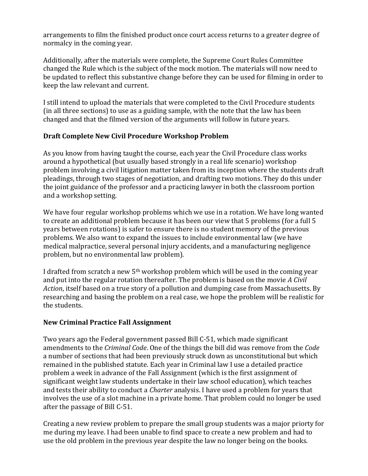arrangements to film the finished product once court access returns to a greater degree of normalcy in the coming year.

Additionally, after the materials were complete, the Supreme Court Rules Committee changed the Rule which is the subject of the mock motion. The materials will now need to be updated to reflect this substantive change before they can be used for filming in order to keep the law relevant and current.

I still intend to upload the materials that were completed to the Civil Procedure students (in all three sections) to use as a guiding sample, with the note that the law has been changed and that the filmed version of the arguments will follow in future years.

### **Draft Complete New Civil Procedure Workshop Problem**

As you know from having taught the course, each year the Civil Procedure class works around a hypothetical (but usually based strongly in a real life scenario) workshop problem involving a civil litigation matter taken from its inception where the students draft pleadings, through two stages of negotiation, and drafting two motions. They do this under the joint guidance of the professor and a practicing lawyer in both the classroom portion and a workshop setting.

We have four regular workshop problems which we use in a rotation. We have long wanted to create an additional problem because it has been our view that 5 problems (for a full 5 years between rotations) is safer to ensure there is no student memory of the previous problems. We also want to expand the issues to include environmental law (we have medical malpractice, several personal injury accidents, and a manufacturing negligence problem, but no environmental law problem).

I drafted from scratch a new 5th workshop problem which will be used in the coming year and put into the regular rotation thereafter. The problem is based on the movie *A Civil Action*, itself based on a true story of a pollution and dumping case from Massachusetts. By researching and basing the problem on a real case, we hope the problem will be realistic for the students.

# **New Criminal Practice Fall Assignment**

Two years ago the Federal government passed Bill C-51, which made significant amendments to the *Criminal Code*. One of the things the bill did was remove from the *Code*  a number of sections that had been previously struck down as unconstitutional but which remained in the published statute. Each year in Criminal law I use a detailed practice problem a week in advance of the Fall Assignment (which is the first assignment of significant weight law students undertake in their law school education), which teaches and tests their ability to conduct a *Charter* analysis. I have used a problem for years that involves the use of a slot machine in a private home. That problem could no longer be used after the passage of Bill C-51.

Creating a new review problem to prepare the small group students was a major priorty for me during my leave. I had been unable to find space to create a new problem and had to use the old problem in the previous year despite the law no longer being on the books.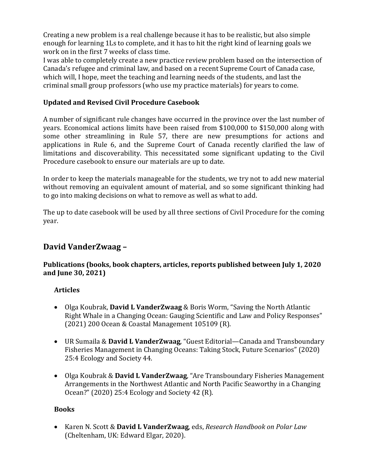Creating a new problem is a real challenge because it has to be realistic, but also simple enough for learning 1Ls to complete, and it has to hit the right kind of learning goals we work on in the first 7 weeks of class time.

I was able to completely create a new practice review problem based on the intersection of Canada's refugee and criminal law, and based on a recent Supreme Court of Canada case, which will, I hope, meet the teaching and learning needs of the students, and last the criminal small group professors (who use my practice materials) for years to come.

#### **Updated and Revised Civil Procedure Casebook**

A number of significant rule changes have occurred in the province over the last number of years. Economical actions limits have been raised from \$100,000 to \$150,000 along with some other streamlining in Rule 57, there are new presumptions for actions and applications in Rule 6, and the Supreme Court of Canada recently clarified the law of limitations and discoverability. This necessitated some significant updating to the Civil Procedure casebook to ensure our materials are up to date.

In order to keep the materials manageable for the students, we try not to add new material without removing an equivalent amount of material, and so some significant thinking had to go into making decisions on what to remove as well as what to add.

The up to date casebook will be used by all three sections of Civil Procedure for the coming year.

# **David VanderZwaag –**

#### **Publications (books, book chapters, articles, reports published between July 1, 2020 and June 30, 2021)**

### **Articles**

- Olga Koubrak, **David L VanderZwaag** & Boris Worm, "Saving the North Atlantic Right Whale in a Changing Ocean: Gauging Scientific and Law and Policy Responses" (2021) 200 Ocean & Coastal Management 105109 (R).
- UR Sumaila & **David L VanderZwaag**, "Guest Editorial—Canada and Transboundary Fisheries Management in Changing Oceans: Taking Stock, Future Scenarios" (2020) 25:4 Ecology and Society 44.
- Olga Koubrak & **David L VanderZwaag**, "Are Transboundary Fisheries Management Arrangements in the Northwest Atlantic and North Pacific Seaworthy in a Changing Ocean?" (2020) 25:4 Ecology and Society 42 (R).

#### **Books**

• Karen N. Scott & **David L VanderZwaag**, eds, *Research Handbook on Polar Law* (Cheltenham, UK: Edward Elgar, 2020).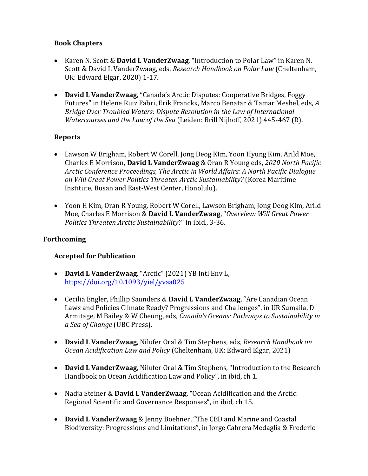### **Book Chapters**

- Karen N. Scott & **David L VanderZwaag**, "Introduction to Polar Law" in Karen N. Scott & David L VanderZwaag, eds, *Research Handbook on Polar Law* (Cheltenham, UK: Edward Elgar, 2020) 1-17.
- **David L VanderZwaag**, "Canada's Arctic Disputes: Cooperative Bridges, Foggy Futures" in Helene Ruiz Fabri, Erik Franckx, Marco Benatar & Tamar Meshel, eds, *A Bridge Over Troubled Waters: Dispute Resolution in the Law of International Watercourses and the Law of the Sea* (Leiden: Brill Nijhoff, 2021) 445-467 (R).

### **Reports**

- Lawson W Brigham, Robert W Corell, Jong Deog KIm, Yoon Hyung Kim, Arild Moe, Charles E Morrison, **David L VanderZwaag** & Oran R Young eds, *2020 North Pacific Arctic Conference Proceedings, The Arctic in World Affairs: A North Pacific Dialogue on Will Great Power Politics Threaten Arctic Sustainability?* (Korea Maritime Institute, Busan and East-West Center, Honolulu).
- Yoon H Kim, Oran R Young, Robert W Corell, Lawson Brigham, Jong Deog KIm, Arild Moe, Charles E Morrison & **David L VanderZwaag**, "*Overview: Will Great Power Politics Threaten Arctic Sustainability?*" in ibid., 3-36.

#### **Forthcoming**

#### **Accepted for Publication**

- **David L VanderZwaag**, "Arctic" (2021) YB Intl Env L, <https://doi.org/10.1093/yiel/yvaa025>
- Cecilia Engler, Phillip Saunders & **David L VanderZwaag**, "Are Canadian Ocean Laws and Policies Climate Ready? Progressions and Challenges", in UR Sumaila, D Armitage, M Bailey & W Cheung, eds, *Canada's Oceans: Pathways to Sustainability in a Sea of Change* (UBC Press).
- **David L VanderZwaag**, Nilufer Oral & Tim Stephens, eds, *Research Handbook on Ocean Acidification Law and Policy* (Cheltenham, UK: Edward Elgar, 2021)
- **David L VanderZwaag**, Nilufer Oral & Tim Stephens, "Introduction to the Research Handbook on Ocean Acidification Law and Policy", in ibid, ch 1.
- Nadja Steiner & **David L VanderZwaag**, "Ocean Acidification and the Arctic: Regional Scientific and Governance Responses", in ibid, ch 15.
- **David L VanderZwaag** & Jenny Boehner, "The CBD and Marine and Coastal Biodiversity: Progressions and Limitations", in Jorge Cabrera Medaglia & Frederic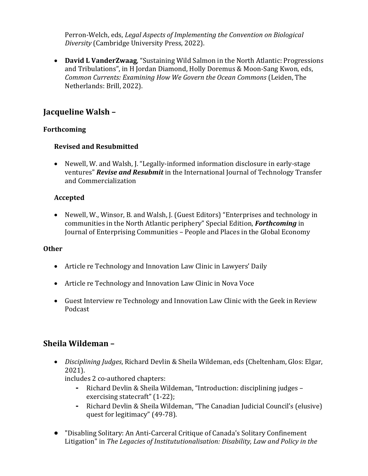Perron-Welch, eds, *Legal Aspects of Implementing the Convention on Biological Diversity* (Cambridge University Press, 2022).

• **David L VanderZwaag**, "Sustaining Wild Salmon in the North Atlantic: Progressions and Tribulations", in H Jordan Diamond, Holly Doremus & Moon-Sang Kwon, eds, *Common Currents: Examining How We Govern the Ocean Commons* (Leiden, The Netherlands: Brill, 2022).

# **Jacqueline Walsh –**

#### **Forthcoming**

#### **Revised and Resubmitted**

• Newell, W. and Walsh, J. "Legally-informed information disclosure in early-stage ventures" *Revise and Resubmit* in the International Journal of Technology Transfer and Commercialization

### **Accepted**

• Newell, W., Winsor, B. and Walsh, J. (Guest Editors) "Enterprises and technology in communities in the North Atlantic periphery" Special Edition, *Forthcoming* in Journal of Enterprising Communities – People and Places in the Global Economy

#### **Other**

- Article re Technology and Innovation Law Clinic in Lawyers' Daily
- Article re Technology and Innovation Law Clinic in Nova Voce
- Guest Interview re Technology and Innovation Law Clinic with the Geek in Review Podcast

# **Sheila Wildeman –**

• *Disciplining Judges*, Richard Devlin & Sheila Wildeman, eds (Cheltenham, Glos: Elgar, 2021).

includes 2 co-authored chapters:

- **-** Richard Devlin & Sheila Wildeman, "Introduction: disciplining judges exercising statecraft" (1-22);
- **-** Richard Devlin & Sheila Wildeman, "The Canadian Judicial Council's (elusive) quest for legitimacy" (49-78).
- "Disabling Solitary: An Anti-Carceral Critique of Canada's Solitary Confinement Litigation" in *The Legacies of Institututionalisation: Disability, Law and Policy in the*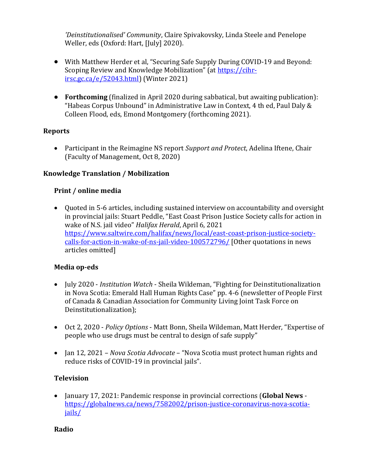*'Deinstitutionalised' Community*, Claire Spivakovsky, Linda Steele and Penelope Weller, eds (Oxford: Hart, [July] 2020).

- With Matthew Herder et al, "Securing Safe Supply During COVID-19 and Beyond: Scoping Review and Knowledge Mobilization" (at [https://cihr](https://cihr-irsc.gc.ca/e/52043.html)[irsc.gc.ca/e/52043.html\)](https://cihr-irsc.gc.ca/e/52043.html) (Winter 2021)
- **Forthcoming** (finalized in April 2020 during sabbatical, but awaiting publication): "Habeas Corpus Unbound" in Administrative Law in Context, 4 th ed, Paul Daly & Colleen Flood, eds, Emond Montgomery (forthcoming 2021).

### **Reports**

• Participant in the Reimagine NS report *Support and Protect*, Adelina Iftene, Chair (Faculty of Management, Oct 8, 2020)

#### **Knowledge Translation / Mobilization**

#### **Print / online media**

• Quoted in 5-6 articles, including sustained interview on accountability and oversight in provincial jails: Stuart Peddle, "East Coast Prison Justice Society calls for action in wake of N.S. jail video" *Halifax Herald*, April 6, 2021 [https://www.saltwire.com/halifax/news/local/east-coast-prison-justice-society](https://www.saltwire.com/halifax/news/local/east-coast-prison-justice-society-calls-for-action-in-wake-of-ns-jail-video-100572796/)[calls-for-action-in-wake-of-ns-jail-video-100572796/](https://www.saltwire.com/halifax/news/local/east-coast-prison-justice-society-calls-for-action-in-wake-of-ns-jail-video-100572796/) [Other quotations in news articles omitted]

#### **Media op-eds**

- July 2020 *Institution Watch* Sheila Wildeman, "Fighting for Deinstitutionalization in Nova Scotia: Emerald Hall Human Rights Case" pp. 4-6 (newsletter of People First of Canada & Canadian Association for Community Living Joint Task Force on Deinstitutionalization);
- Oct 2, 2020 *Policy Options* Matt Bonn, Sheila Wildeman, Matt Herder, "Expertise of people who use drugs must be central to design of safe supply"
- Jan 12, 2021 *Nova Scotia Advocate* "Nova Scotia must protect human rights and reduce risks of COVID-19 in provincial jails".

#### **Television**

• January 17, 2021: Pandemic response in provincial corrections (**Global News** [https://globalnews.ca/news/7582002/prison-justice-coronavirus-nova-scotia](https://globalnews.ca/news/7582002/prison-justice-coronavirus-nova-scotia-jails/)[jails/](https://globalnews.ca/news/7582002/prison-justice-coronavirus-nova-scotia-jails/)

#### **Radio**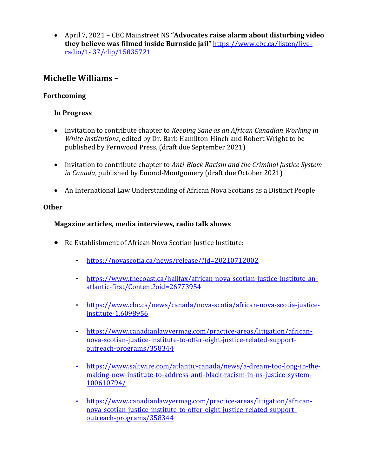• April 7, 2021 – CBC Mainstreet NS **"Advocates raise alarm about disturbing video they believe was filmed inside Burnside jail"** [https://www.cbc.ca/listen/live](https://www.cbc.ca/listen/live-radio/1-%2037/clip/15835721)radio/1- [37/clip/15835721](https://www.cbc.ca/listen/live-radio/1-%2037/clip/15835721)

# **Michelle Williams –**

### **Forthcoming**

#### **In Progress**

- Invitation to contribute chapter to *Keeping Sane as an African Canadian Working in White Institutions*, edited by Dr. Barb Hamilton-Hinch and Robert Wright to be published by Fernwood Press, (draft due September 2021)
- Invitation to contribute chapter to *Anti-Black Racism and the Criminal Justice System in Canada*, published by Emond-Montgomery (draft due October 2021)
- An International Law Understanding of African Nova Scotians as a Distinct People

#### **Other**

### **Magazine articles, media interviews, radio talk shows**

- Re Establishment of African Nova Scotian Justice Institute:
	- **-** <https://novascotia.ca/news/release/?id=20210712002>
	- **-** [https://www.thecoast.ca/halifax/african-nova-scotian-justice-institute-an](https://www.thecoast.ca/halifax/african-nova-scotian-justice-institute-an-atlantic-first/Content?oid=26773954)[atlantic-first/Content?oid=26773954](https://www.thecoast.ca/halifax/african-nova-scotian-justice-institute-an-atlantic-first/Content?oid=26773954)
	- **-** [https://www.cbc.ca/news/canada/nova-scotia/african-nova-scotia-justice](https://www.cbc.ca/news/canada/nova-scotia/african-nova-scotia-justice-institute-1.6098956)[institute-1.6098956](https://www.cbc.ca/news/canada/nova-scotia/african-nova-scotia-justice-institute-1.6098956)
	- **-** [https://www.canadianlawyermag.com/practice-areas/litigation/african](https://www.canadianlawyermag.com/practice-areas/litigation/african-nova-scotian-justice-institute-to-offer-eight-justice-related-support-outreach-programs/358344)[nova-scotian-justice-institute-to-offer-eight-justice-related-support](https://www.canadianlawyermag.com/practice-areas/litigation/african-nova-scotian-justice-institute-to-offer-eight-justice-related-support-outreach-programs/358344)[outreach-programs/358344](https://www.canadianlawyermag.com/practice-areas/litigation/african-nova-scotian-justice-institute-to-offer-eight-justice-related-support-outreach-programs/358344)
	- **-** [https://www.saltwire.com/atlantic-canada/news/a-dream-too-long-in-the](https://www.saltwire.com/atlantic-canada/news/a-dream-too-long-in-the-making-new-institute-to-address-anti-black-racism-in-ns-justice-system-100610794/)[making-new-institute-to-address-anti-black-racism-in-ns-justice-system-](https://www.saltwire.com/atlantic-canada/news/a-dream-too-long-in-the-making-new-institute-to-address-anti-black-racism-in-ns-justice-system-100610794/)[100610794/](https://www.saltwire.com/atlantic-canada/news/a-dream-too-long-in-the-making-new-institute-to-address-anti-black-racism-in-ns-justice-system-100610794/)
	- **-** [https://www.canadianlawyermag.com/practice-areas/litigation/african](https://www.canadianlawyermag.com/practice-areas/litigation/african-nova-scotian-justice-institute-to-offer-eight-justice-related-support-outreach-programs/358344)[nova-scotian-justice-institute-to-offer-eight-justice-related-support](https://www.canadianlawyermag.com/practice-areas/litigation/african-nova-scotian-justice-institute-to-offer-eight-justice-related-support-outreach-programs/358344)[outreach-programs/358344](https://www.canadianlawyermag.com/practice-areas/litigation/african-nova-scotian-justice-institute-to-offer-eight-justice-related-support-outreach-programs/358344)